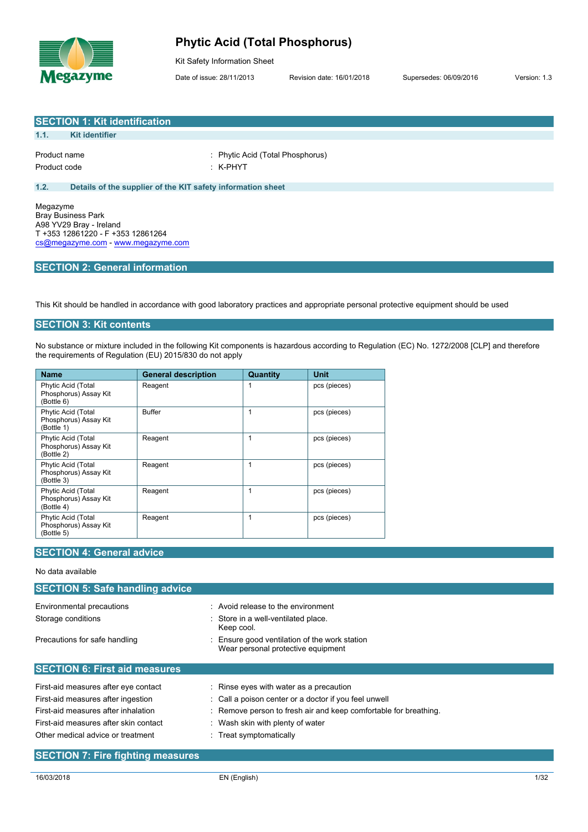

### **Phytic Acid (Total Phosphorus)**

Kit Safety Information Sheet

Date of issue: 28/11/2013 Revision date: 16/01/2018 Supersedes: 06/09/2016 Version: 1.3

|              | <b>SECTION 1: Kit identification</b>                        |                                  |
|--------------|-------------------------------------------------------------|----------------------------------|
| 1.1.         | <b>Kit identifier</b>                                       |                                  |
|              |                                                             |                                  |
| Product name |                                                             | : Phytic Acid (Total Phosphorus) |
| Product code |                                                             | $:$ K-PHYT                       |
|              |                                                             |                                  |
| 1.2.         | Details of the supplier of the KIT safety information sheet |                                  |
|              |                                                             |                                  |
| Megazyme     |                                                             |                                  |

Megazyme Bray Business Park A98 YV29 Bray - Ireland T +353 12861220 - F +353 12861264 [cs@megazyme.com](mailto:cs@megazyme.com) - <www.megazyme.com>

### **SECTION 2: General information**

This Kit should be handled in accordance with good laboratory practices and appropriate personal protective equipment should be used

#### **SECTION 3: Kit contents**

No substance or mixture included in the following Kit components is hazardous according to Regulation (EC) No. 1272/2008 [CLP] and therefore the requirements of Regulation (EU) 2015/830 do not apply

| <b>Name</b>                                               | <b>General description</b> | Quantity | Unit         |
|-----------------------------------------------------------|----------------------------|----------|--------------|
| Phytic Acid (Total<br>Phosphorus) Assay Kit<br>(Bottle 6) | Reagent                    |          | pcs (pieces) |
| Phytic Acid (Total<br>Phosphorus) Assay Kit<br>(Bottle 1) | <b>Buffer</b>              | 1        | pcs (pieces) |
| Phytic Acid (Total<br>Phosphorus) Assay Kit<br>(Bottle 2) | Reagent                    | 1        | pcs (pieces) |
| Phytic Acid (Total<br>Phosphorus) Assay Kit<br>(Bottle 3) | Reagent                    | 1        | pcs (pieces) |
| Phytic Acid (Total<br>Phosphorus) Assay Kit<br>(Bottle 4) | Reagent                    | 1        | pcs (pieces) |
| Phytic Acid (Total<br>Phosphorus) Assay Kit<br>(Bottle 5) | Reagent                    | 1        | pcs (pieces) |

#### **SECTION 4: General advice**

| No data available                      |                                                                                   |
|----------------------------------------|-----------------------------------------------------------------------------------|
| <b>SECTION 5: Safe handling advice</b> |                                                                                   |
| Environmental precautions              | $\therefore$ Avoid release to the environment                                     |
| Storage conditions                     | : Store in a well-ventilated place.<br>Keep cool.                                 |
| Precautions for safe handling          | Ensure good ventilation of the work station<br>Wear personal protective equipment |
| <b>SECTION 6: First aid measures</b>   |                                                                                   |
| First-aid measures after eye contact   | : Rinse eyes with water as a precaution                                           |
| First-aid measures after ingestion     | : Call a poison center or a doctor if you feel unwell                             |
| First-aid measures after inhalation    | : Remove person to fresh air and keep comfortable for breathing.                  |
| First-aid measures after skin contact  | : Wash skin with plenty of water                                                  |
| Other medical advice or treatment      | $\therefore$ Treat symptomatically                                                |

#### **SECTION 7: Fire fighting measures**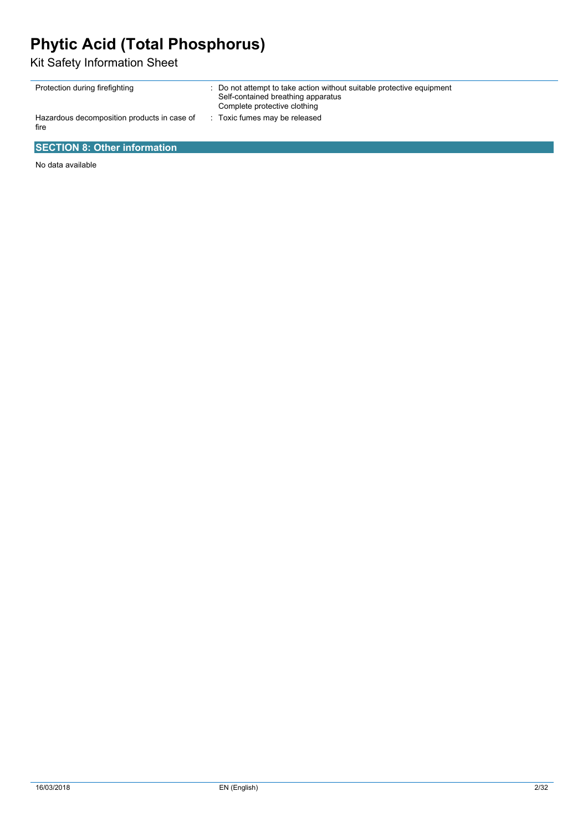## **Phytic Acid (Total Phosphorus)**

Kit Safety Information Sheet

| Protection during firefighting                      | : Do not attempt to take action without suitable protective equipment<br>Self-contained breathing apparatus<br>Complete protective clothing |
|-----------------------------------------------------|---------------------------------------------------------------------------------------------------------------------------------------------|
| Hazardous decomposition products in case of<br>fire | : Toxic fumes may be released                                                                                                               |

### **SECTION 8: Other information**

No data available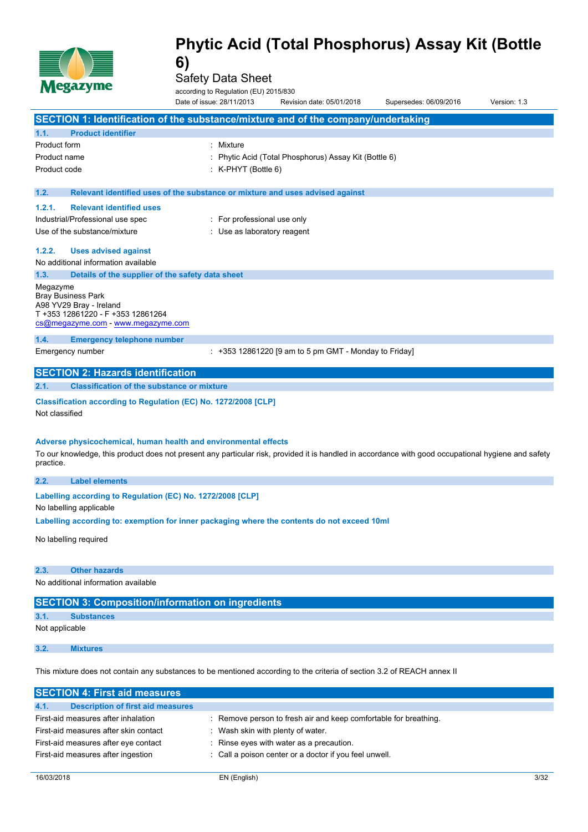

Safety Data Sheet

|                | <b>Negazyme</b>                          | according to Regulation (EU) 2015/830                                                                                                                                                                                  |                                                       |                        |              |
|----------------|------------------------------------------|------------------------------------------------------------------------------------------------------------------------------------------------------------------------------------------------------------------------|-------------------------------------------------------|------------------------|--------------|
|                |                                          | Date of issue: 28/11/2013                                                                                                                                                                                              | Revision date: 05/01/2018                             | Supersedes: 06/09/2016 | Version: 1.3 |
|                |                                          | SECTION 1: Identification of the substance/mixture and of the company/undertaking                                                                                                                                      |                                                       |                        |              |
| 1.1.           | <b>Product identifier</b>                |                                                                                                                                                                                                                        |                                                       |                        |              |
| Product form   |                                          | Mixture                                                                                                                                                                                                                |                                                       |                        |              |
| Product name   |                                          |                                                                                                                                                                                                                        | Phytic Acid (Total Phosphorus) Assay Kit (Bottle 6)   |                        |              |
| Product code   |                                          | $:$ K-PHYT (Bottle 6)                                                                                                                                                                                                  |                                                       |                        |              |
|                |                                          |                                                                                                                                                                                                                        |                                                       |                        |              |
| 1.2.           |                                          | Relevant identified uses of the substance or mixture and uses advised against                                                                                                                                          |                                                       |                        |              |
| 1.2.1.         | <b>Relevant identified uses</b>          |                                                                                                                                                                                                                        |                                                       |                        |              |
|                | Industrial/Professional use spec         | : For professional use only                                                                                                                                                                                            |                                                       |                        |              |
|                | Use of the substance/mixture             | : Use as laboratory reagent                                                                                                                                                                                            |                                                       |                        |              |
| 1.2.2.         | <b>Uses advised against</b>              |                                                                                                                                                                                                                        |                                                       |                        |              |
|                | No additional information available      |                                                                                                                                                                                                                        |                                                       |                        |              |
| 1.3.           |                                          | Details of the supplier of the safety data sheet                                                                                                                                                                       |                                                       |                        |              |
| Megazyme       | <b>Bray Business Park</b>                |                                                                                                                                                                                                                        |                                                       |                        |              |
|                | A98 YV29 Bray - Ireland                  |                                                                                                                                                                                                                        |                                                       |                        |              |
|                | T +353 12861220 - F +353 12861264        |                                                                                                                                                                                                                        |                                                       |                        |              |
|                | cs@megazyme.com - www.megazyme.com       |                                                                                                                                                                                                                        |                                                       |                        |              |
| 1.4.           | <b>Emergency telephone number</b>        |                                                                                                                                                                                                                        |                                                       |                        |              |
|                | Emergency number                         |                                                                                                                                                                                                                        | : +353 12861220 [9 am to 5 pm GMT - Monday to Friday] |                        |              |
|                | <b>SECTION 2: Hazards identification</b> |                                                                                                                                                                                                                        |                                                       |                        |              |
| 2.1.           |                                          | <b>Classification of the substance or mixture</b>                                                                                                                                                                      |                                                       |                        |              |
| Not classified |                                          | Classification according to Regulation (EC) No. 1272/2008 [CLP]                                                                                                                                                        |                                                       |                        |              |
| practice.      |                                          | Adverse physicochemical, human health and environmental effects<br>To our knowledge, this product does not present any particular risk, provided it is handled in accordance with good occupational hygiene and safety |                                                       |                        |              |
| 2.2.           | <b>Label elements</b>                    |                                                                                                                                                                                                                        |                                                       |                        |              |
|                |                                          | Labelling according to Regulation (EC) No. 1272/2008 [CLP]                                                                                                                                                             |                                                       |                        |              |
|                | No labelling applicable                  |                                                                                                                                                                                                                        |                                                       |                        |              |
|                |                                          | Labelling according to: exemption for inner packaging where the contents do not exceed 10ml                                                                                                                            |                                                       |                        |              |
|                | No labelling required                    |                                                                                                                                                                                                                        |                                                       |                        |              |
| 2.3.           | <b>Other hazards</b>                     |                                                                                                                                                                                                                        |                                                       |                        |              |
|                | No additional information available      |                                                                                                                                                                                                                        |                                                       |                        |              |
|                |                                          | <b>SECTION 3: Composition/information on ingredients</b>                                                                                                                                                               |                                                       |                        |              |
| 3.1.           | <b>Substances</b>                        |                                                                                                                                                                                                                        |                                                       |                        |              |
| Not applicable |                                          |                                                                                                                                                                                                                        |                                                       |                        |              |
| 3.2.           | <b>Mixtures</b>                          |                                                                                                                                                                                                                        |                                                       |                        |              |
|                |                                          | This mixture does not contain any substances to be mentioned according to the criteria of section 3.2 of REACH annex II                                                                                                |                                                       |                        |              |
|                |                                          |                                                                                                                                                                                                                        |                                                       |                        |              |

| SECTION 4: FIRST ald measures                    |                                                                  |
|--------------------------------------------------|------------------------------------------------------------------|
| 4.1.<br><b>Description of first aid measures</b> |                                                                  |
| First-aid measures after inhalation              | : Remove person to fresh air and keep comfortable for breathing. |
| First-aid measures after skin contact            | Wash skin with plenty of water.                                  |
| First-aid measures after eye contact             | : Rinse eyes with water as a precaution.                         |
| First-aid measures after ingestion               | : Call a poison center or a doctor if you feel unwell.           |
|                                                  |                                                                  |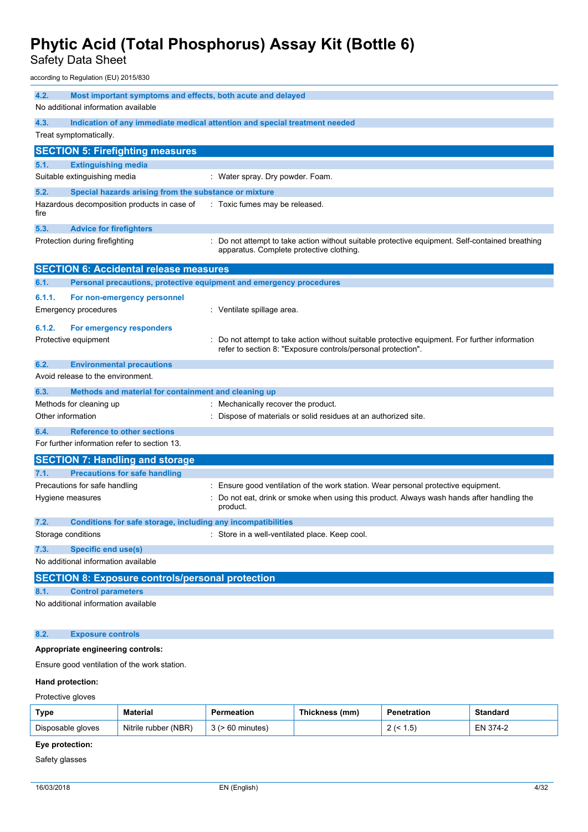Safety Data Sheet

according to Regulation (EU) 2015/830

| 4.2.              | Most important symptoms and effects, both acute and delayed<br>No additional information available |                                                                                                                                                              |
|-------------------|----------------------------------------------------------------------------------------------------|--------------------------------------------------------------------------------------------------------------------------------------------------------------|
| 4.3.              |                                                                                                    | Indication of any immediate medical attention and special treatment needed                                                                                   |
|                   | Treat symptomatically.                                                                             |                                                                                                                                                              |
|                   | <b>SECTION 5: Firefighting measures</b>                                                            |                                                                                                                                                              |
| 5.1.              | <b>Extinguishing media</b>                                                                         |                                                                                                                                                              |
|                   | Suitable extinguishing media                                                                       | : Water spray. Dry powder. Foam.                                                                                                                             |
| 5.2.              | Special hazards arising from the substance or mixture                                              |                                                                                                                                                              |
| fire              | Hazardous decomposition products in case of                                                        | : Toxic fumes may be released.                                                                                                                               |
| 5.3.              | <b>Advice for firefighters</b>                                                                     |                                                                                                                                                              |
|                   | Protection during firefighting                                                                     | Do not attempt to take action without suitable protective equipment. Self-contained breathing<br>apparatus. Complete protective clothing.                    |
|                   | <b>SECTION 6: Accidental release measures</b>                                                      |                                                                                                                                                              |
| 6.1.              | Personal precautions, protective equipment and emergency procedures                                |                                                                                                                                                              |
| 6.1.1.            | For non-emergency personnel                                                                        |                                                                                                                                                              |
|                   | <b>Emergency procedures</b>                                                                        | : Ventilate spillage area.                                                                                                                                   |
| 6.1.2.            | For emergency responders                                                                           |                                                                                                                                                              |
|                   | Protective equipment                                                                               | Do not attempt to take action without suitable protective equipment. For further information<br>refer to section 8: "Exposure controls/personal protection". |
| 6.2.              | <b>Environmental precautions</b>                                                                   |                                                                                                                                                              |
|                   | Avoid release to the environment.                                                                  |                                                                                                                                                              |
| 6.3.              | Methods and material for containment and cleaning up                                               |                                                                                                                                                              |
|                   | Methods for cleaning up                                                                            | Mechanically recover the product.                                                                                                                            |
| Other information |                                                                                                    | Dispose of materials or solid residues at an authorized site.                                                                                                |
| 6.4.              | <b>Reference to other sections</b>                                                                 |                                                                                                                                                              |
|                   | For further information refer to section 13.                                                       |                                                                                                                                                              |
|                   | <b>SECTION 7: Handling and storage</b>                                                             |                                                                                                                                                              |
| 7.1.              | <b>Precautions for safe handling</b>                                                               |                                                                                                                                                              |
|                   | Precautions for safe handling                                                                      | Ensure good ventilation of the work station. Wear personal protective equipment.                                                                             |
|                   | Hygiene measures                                                                                   | Do not eat, drink or smoke when using this product. Always wash hands after handling the<br>product.                                                         |
| 7.2.              | Conditions for safe storage, including any incompatibilities                                       |                                                                                                                                                              |
|                   | Storage conditions                                                                                 | Store in a well-ventilated place. Keep cool.                                                                                                                 |
| 7.3.              | <b>Specific end use(s)</b>                                                                         |                                                                                                                                                              |
|                   | No additional information available                                                                |                                                                                                                                                              |
|                   | <b>SECTION 8: Exposure controls/personal protection</b>                                            |                                                                                                                                                              |
| 8.1.              | <b>Control parameters</b>                                                                          |                                                                                                                                                              |
|                   | No additional information available                                                                |                                                                                                                                                              |
| 8.2.              | <b>Exposure controls</b>                                                                           |                                                                                                                                                              |
|                   | Appropriate engineering controls:                                                                  |                                                                                                                                                              |

Ensure good ventilation of the work station.

#### **Hand protection:**

Protective gloves

| Type              | Material             | Permeation | Thickness (mm) | Penetration     | <b>Standard</b> |
|-------------------|----------------------|------------|----------------|-----------------|-----------------|
| Disposable gloves | Nitrile rubber (NBR) | 60 minutes |                | ن.،<br><u>_</u> | EN 374-2        |

### **Eye protection:**

Safety glasses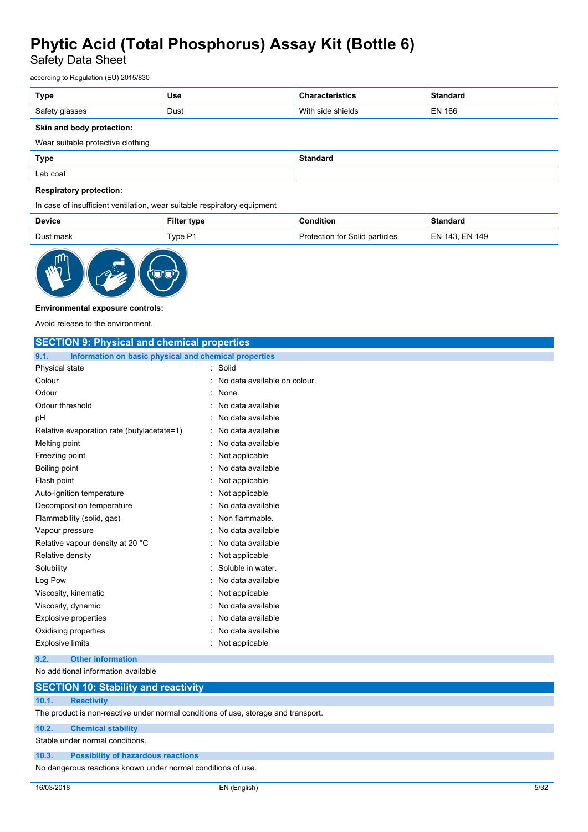Safety Data Sheet

according to Regulation (EU) 2015/830

| Type   | <b>Use</b> | uw                            | <b>Ctondord</b><br>iuai u      |
|--------|------------|-------------------------------|--------------------------------|
| Safety | Dust       | Witl<br>shields<br><b>CIN</b> | <b>EN 166</b><br>$\sim$ $\sim$ |

#### **Skin and body protection:**

Wear suitable protective clothing

| Type     | <b>Standard</b> |
|----------|-----------------|
| Lab coat |                 |

#### **Respiratory protection:**

In case of insufficient ventilation, wear suitable respiratory equipment

| <b>Device</b> | Filter<br>type | າdition                              | Standard                   |
|---------------|----------------|--------------------------------------|----------------------------|
| Dust mask     | Tvpe P1        | Solid particles<br>tor i<br>otection | <b>EN 149</b><br>143<br>ЕN |



#### **Environmental exposure controls:**

Avoid release to the environment.

| <b>SECTION 9: Physical and chemical properties</b>            |                              |  |  |
|---------------------------------------------------------------|------------------------------|--|--|
| Information on basic physical and chemical properties<br>9.1. |                              |  |  |
| Physical state                                                | Solid                        |  |  |
| Colour                                                        | No data available on colour. |  |  |
| Odour                                                         | None.                        |  |  |
| Odour threshold                                               | No data available            |  |  |
| рH                                                            | No data available            |  |  |
| Relative evaporation rate (butylacetate=1)                    | No data available            |  |  |
| Melting point                                                 | No data available            |  |  |
| Freezing point                                                | Not applicable               |  |  |
| Boiling point                                                 | No data available            |  |  |
| Flash point                                                   | Not applicable               |  |  |
| Auto-ignition temperature                                     | Not applicable               |  |  |
| Decomposition temperature                                     | No data available            |  |  |
| Flammability (solid, gas)                                     | Non flammable.               |  |  |
| Vapour pressure                                               | No data available            |  |  |
| Relative vapour density at 20 °C                              | No data available            |  |  |
| Relative density                                              | Not applicable               |  |  |
| Solubility                                                    | Soluble in water.            |  |  |
| Log Pow                                                       | No data available            |  |  |
| Viscosity, kinematic                                          | Not applicable               |  |  |
| Viscosity, dynamic                                            | No data available            |  |  |
| <b>Explosive properties</b>                                   | No data available            |  |  |
| Oxidising properties                                          | No data available            |  |  |
| <b>Explosive limits</b>                                       | Not applicable               |  |  |
|                                                               |                              |  |  |

**9.2. Other information**

No additional information available

### **SECTION 10: Stability and reactivity**

#### **10.1. Reactivity**

The product is non-reactive under normal conditions of use, storage and transport.

**10.2. Chemical stability**

Stable under normal conditions.

#### **10.3. Possibility of hazardous reactions**

No dangerous reactions known under normal conditions of use.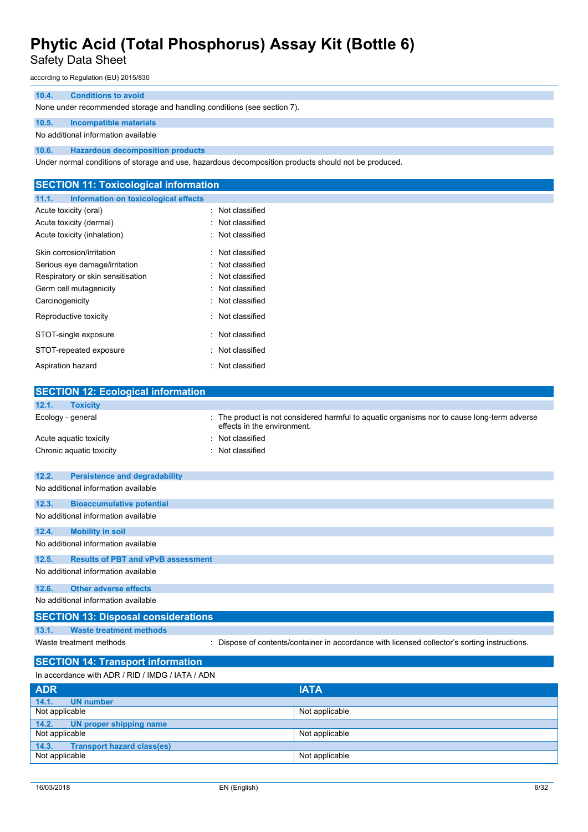Safety Data Sheet

according to Regulation (EU) 2015/830

#### **10.4. Conditions to avoid**

None under recommended storage and handling conditions (see section 7).

#### **10.5. Incompatible materials**

No additional information available

**10.6. Hazardous decomposition products**

Under normal conditions of storage and use, hazardous decomposition products should not be produced.

| <b>SECTION 11: Toxicological information</b>  |                  |  |
|-----------------------------------------------|------------------|--|
| 11.1.<br>Information on toxicological effects |                  |  |
| Acute toxicity (oral)                         | : Not classified |  |
| Acute toxicity (dermal)                       | : Not classified |  |
| Acute toxicity (inhalation)                   | : Not classified |  |
| Skin corrosion/irritation                     | : Not classified |  |
| Serious eye damage/irritation                 | Not classified   |  |
| Respiratory or skin sensitisation             | Not classified   |  |
| Germ cell mutagenicity                        | Not classified   |  |
| Carcinogenicity                               | Not classified   |  |
| Reproductive toxicity                         | : Not classified |  |
| STOT-single exposure                          | : Not classified |  |
| STOT-repeated exposure                        | Not classified   |  |
| Aspiration hazard                             | : Not classified |  |
|                                               |                  |  |
| <b>SECTION 12: Ecological information</b>     |                  |  |

| 12.1.<br><b>Toxicity</b>                           |                                                                                                                            |
|----------------------------------------------------|----------------------------------------------------------------------------------------------------------------------------|
| Ecology - general                                  | : The product is not considered harmful to aquatic organisms nor to cause long-term adverse<br>effects in the environment. |
| Acute aquatic toxicity                             | Not classified                                                                                                             |
| Chronic aquatic toxicity                           | Not classified                                                                                                             |
| 12.2.<br><b>Persistence and degradability</b>      |                                                                                                                            |
| No additional information available                |                                                                                                                            |
| 12.3.<br><b>Bioaccumulative potential</b>          |                                                                                                                            |
| No additional information available                |                                                                                                                            |
| 12.4.<br><b>Mobility in soil</b>                   |                                                                                                                            |
| No additional information available                |                                                                                                                            |
| 12.5.<br><b>Results of PBT and vPvB assessment</b> |                                                                                                                            |
| No additional information available                |                                                                                                                            |
| <b>Other adverse effects</b><br>12.6.              |                                                                                                                            |
| No additional information available                |                                                                                                                            |
| <b>SECTION 13: Disposal considerations</b>         |                                                                                                                            |
| <b>Waste treatment methods</b><br>13.1.            |                                                                                                                            |
| Waste treatment methods                            | : Dispose of contents/container in accordance with licensed collector's sorting instructions.                              |
| <b>SECTION 14: Transport information</b>           |                                                                                                                            |
| In accordance with ADR / RID / IMDG / IATA / ADN   |                                                                                                                            |
| <b>ADR</b>                                         | ΙΔΤΑ                                                                                                                       |

| <b>ADR</b>                                 | <b>IATA</b>    |
|--------------------------------------------|----------------|
| 14.1.<br><b>UN number</b>                  |                |
| Not applicable                             | Not applicable |
| 14.2.7<br>UN proper shipping name          |                |
| Not applicable                             | Not applicable |
| <b>Transport hazard class(es)</b><br>14.3. |                |
| Not applicable                             | Not applicable |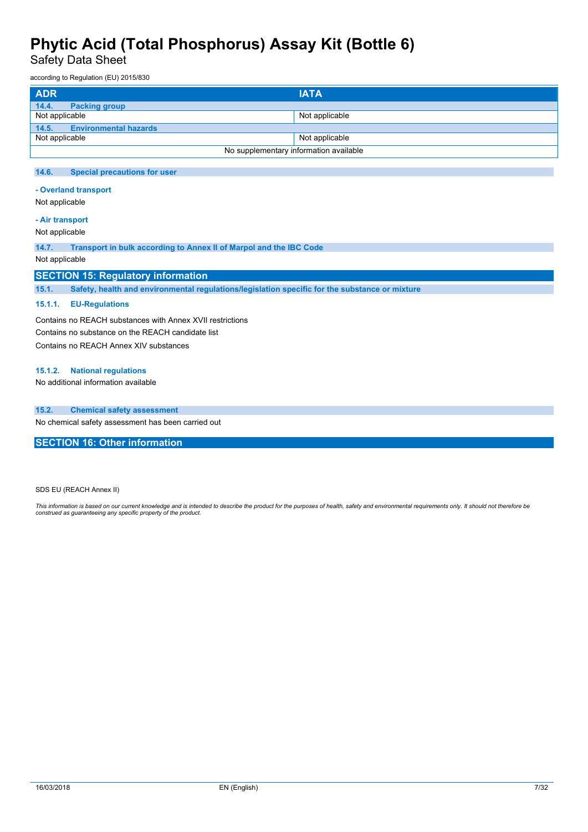Safety Data Sheet

according to Regulation (EU) 2015/830

| <b>ADR</b>                            | <b>IATA</b>                            |
|---------------------------------------|----------------------------------------|
| 14.4.<br><b>Packing group</b>         |                                        |
| Not applicable                        | Not applicable                         |
| 14.5.<br><b>Environmental hazards</b> |                                        |
| Not applicable                        | Not applicable                         |
|                                       | No supplementary information available |

#### **14.6. Special precautions for user**

**- Overland transport**

Not applicable

#### **- Air transport**

Not applicable

**14.7. Transport in bulk according to Annex II of Marpol and the IBC Code**

#### Not applicable

#### **SECTION 15: Regulatory information**

**15.1. Safety, health and environmental regulations/legislation specific for the substance or mixture**

#### **15.1.1. EU-Regulations**

Contains no REACH substances with Annex XVII restrictions Contains no substance on the REACH candidate list Contains no REACH Annex XIV substances

#### **15.1.2. National regulations**

No additional information available

#### **15.2. Chemical safety assessment**

No chemical safety assessment has been carried out

**SECTION 16: Other information**

SDS EU (REACH Annex II)

This information is based on our current knowledge and is intended to describe the product for the purposes of health, safety and environmental requirements only. It should not therefore be<br>construed as guaranteeing any sp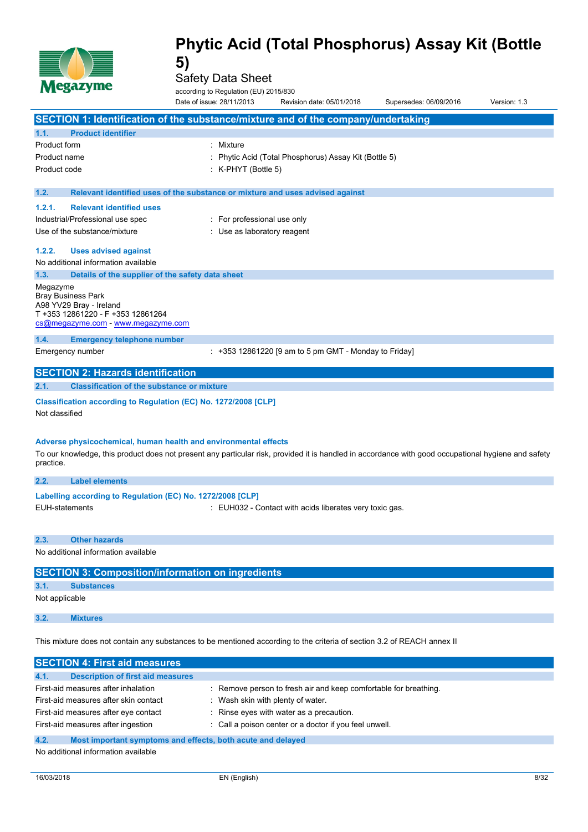

Safety Data Sheet

according to Regulation (EU) 2015/830

|                | <b>Nester</b> The                                                                                                                                                                                                      | according to Regulation (EU) 2015/830<br>Date of issue: 28/11/2013 | Revision date: 05/01/2018                               | Supersedes: 06/09/2016 | Version: 1.3 |
|----------------|------------------------------------------------------------------------------------------------------------------------------------------------------------------------------------------------------------------------|--------------------------------------------------------------------|---------------------------------------------------------|------------------------|--------------|
|                | <b>SECTION 1: Identification of the substance/mixture and of the company/undertaking</b>                                                                                                                               |                                                                    |                                                         |                        |              |
| 1.1.           | <b>Product identifier</b>                                                                                                                                                                                              |                                                                    |                                                         |                        |              |
| Product form   |                                                                                                                                                                                                                        | : Mixture                                                          |                                                         |                        |              |
| Product name   |                                                                                                                                                                                                                        |                                                                    | Phytic Acid (Total Phosphorus) Assay Kit (Bottle 5)     |                        |              |
| Product code   |                                                                                                                                                                                                                        | : K-PHYT (Bottle 5)                                                |                                                         |                        |              |
| 1.2.           | Relevant identified uses of the substance or mixture and uses advised against                                                                                                                                          |                                                                    |                                                         |                        |              |
| 1.2.1.         | <b>Relevant identified uses</b>                                                                                                                                                                                        |                                                                    |                                                         |                        |              |
|                | Industrial/Professional use spec                                                                                                                                                                                       | : For professional use only                                        |                                                         |                        |              |
|                | Use of the substance/mixture                                                                                                                                                                                           | : Use as laboratory reagent                                        |                                                         |                        |              |
| 1.2.2.         | <b>Uses advised against</b>                                                                                                                                                                                            |                                                                    |                                                         |                        |              |
|                | No additional information available                                                                                                                                                                                    |                                                                    |                                                         |                        |              |
| 1.3.           | Details of the supplier of the safety data sheet                                                                                                                                                                       |                                                                    |                                                         |                        |              |
| Megazyme       | <b>Bray Business Park</b><br>A98 YV29 Bray - Ireland<br>T +353 12861220 - F +353 12861264<br>cs@megazyme.com - www.megazyme.com                                                                                        |                                                                    |                                                         |                        |              |
| 1.4.           | <b>Emergency telephone number</b>                                                                                                                                                                                      |                                                                    |                                                         |                        |              |
|                | Emergency number                                                                                                                                                                                                       |                                                                    | $: +353$ 12861220 [9 am to 5 pm GMT - Monday to Friday] |                        |              |
|                | <b>SECTION 2: Hazards identification</b>                                                                                                                                                                               |                                                                    |                                                         |                        |              |
| 2.1.           | <b>Classification of the substance or mixture</b>                                                                                                                                                                      |                                                                    |                                                         |                        |              |
| Not classified | Classification according to Regulation (EC) No. 1272/2008 [CLP]                                                                                                                                                        |                                                                    |                                                         |                        |              |
| practice.      | Adverse physicochemical, human health and environmental effects<br>To our knowledge, this product does not present any particular risk, provided it is handled in accordance with good occupational hygiene and safety |                                                                    |                                                         |                        |              |
| 2.2.           | <b>Label elements</b>                                                                                                                                                                                                  |                                                                    |                                                         |                        |              |
|                | Labelling according to Regulation (EC) No. 1272/2008 [CLP]                                                                                                                                                             |                                                                    |                                                         |                        |              |
|                | <b>EUH-statements</b>                                                                                                                                                                                                  |                                                                    | : EUH032 - Contact with acids liberates very toxic gas. |                        |              |
| 2.3.           | <b>Other hazards</b>                                                                                                                                                                                                   |                                                                    |                                                         |                        |              |
|                | No additional information available                                                                                                                                                                                    |                                                                    |                                                         |                        |              |
|                | <b>SECTION 3: Composition/information on ingredients</b>                                                                                                                                                               |                                                                    |                                                         |                        |              |
| 3.1.           | <b>Substances</b>                                                                                                                                                                                                      |                                                                    |                                                         |                        |              |
| Not applicable |                                                                                                                                                                                                                        |                                                                    |                                                         |                        |              |
| 3.2.           | <b>Mixtures</b>                                                                                                                                                                                                        |                                                                    |                                                         |                        |              |
|                |                                                                                                                                                                                                                        |                                                                    |                                                         |                        |              |

This mixture does not contain any substances to be mentioned according to the criteria of section 3.2 of REACH annex II

| <b>SECTION 4: First aid measures</b>                                |                                                                  |
|---------------------------------------------------------------------|------------------------------------------------------------------|
| 4.1.<br><b>Description of first aid measures</b>                    |                                                                  |
| First-aid measures after inhalation                                 | : Remove person to fresh air and keep comfortable for breathing. |
| First-aid measures after skin contact                               | Wash skin with plenty of water.                                  |
| First-aid measures after eye contact                                | : Rinse eyes with water as a precaution.                         |
| First-aid measures after ingestion                                  | : Call a poison center or a doctor if you feel unwell.           |
| 4.2.<br>Most important symptoms and effects, both acute and delayed |                                                                  |

No additional information available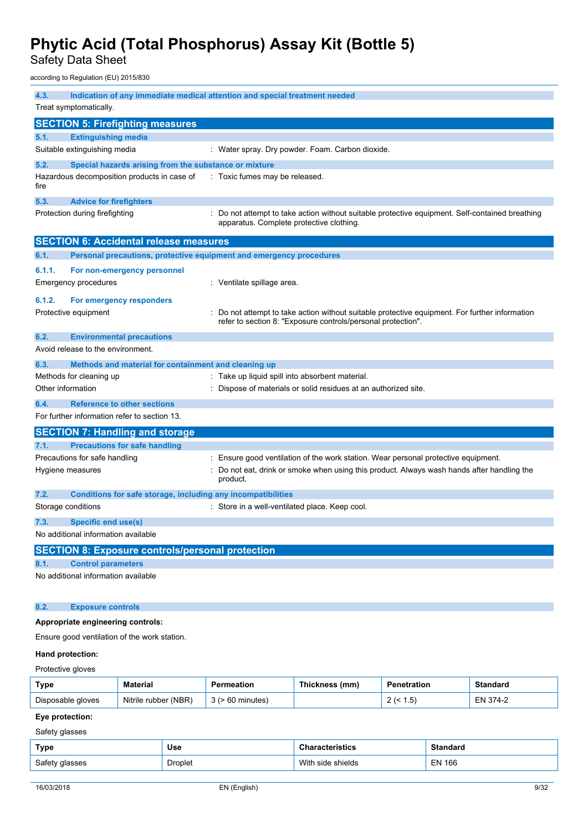Safety Data Sheet

according to Regulation (EU) 2015/830

| 4.3.              |                                                                     | Indication of any immediate medical attention and special treatment needed                                                                                   |
|-------------------|---------------------------------------------------------------------|--------------------------------------------------------------------------------------------------------------------------------------------------------------|
|                   | Treat symptomatically.                                              |                                                                                                                                                              |
|                   | <b>SECTION 5: Firefighting measures</b>                             |                                                                                                                                                              |
| 5.1.              | <b>Extinguishing media</b>                                          |                                                                                                                                                              |
|                   | Suitable extinguishing media                                        | : Water spray. Dry powder. Foam. Carbon dioxide.                                                                                                             |
| 5.2.              | Special hazards arising from the substance or mixture               |                                                                                                                                                              |
| fire              | Hazardous decomposition products in case of                         | : Toxic fumes may be released.                                                                                                                               |
| 5.3.              | <b>Advice for firefighters</b>                                      |                                                                                                                                                              |
|                   | Protection during firefighting                                      | : Do not attempt to take action without suitable protective equipment. Self-contained breathing<br>apparatus. Complete protective clothing.                  |
|                   | <b>SECTION 6: Accidental release measures</b>                       |                                                                                                                                                              |
| 6.1.              | Personal precautions, protective equipment and emergency procedures |                                                                                                                                                              |
| 6.1.1.            | For non-emergency personnel                                         |                                                                                                                                                              |
|                   | <b>Emergency procedures</b>                                         | : Ventilate spillage area.                                                                                                                                   |
| 6.1.2.            | For emergency responders                                            |                                                                                                                                                              |
|                   | Protective equipment                                                | Do not attempt to take action without suitable protective equipment. For further information<br>refer to section 8: "Exposure controls/personal protection". |
| 6.2.              | <b>Environmental precautions</b>                                    |                                                                                                                                                              |
|                   | Avoid release to the environment.                                   |                                                                                                                                                              |
| 6.3.              | Methods and material for containment and cleaning up                |                                                                                                                                                              |
|                   | Methods for cleaning up                                             | : Take up liquid spill into absorbent material.                                                                                                              |
| Other information |                                                                     | Dispose of materials or solid residues at an authorized site.                                                                                                |
| 6.4.              | <b>Reference to other sections</b>                                  |                                                                                                                                                              |
|                   | For further information refer to section 13.                        |                                                                                                                                                              |
|                   | <b>SECTION 7: Handling and storage</b>                              |                                                                                                                                                              |
| 7.1.              | <b>Precautions for safe handling</b>                                |                                                                                                                                                              |
|                   | Precautions for safe handling                                       | : Ensure good ventilation of the work station. Wear personal protective equipment.                                                                           |
|                   | Hygiene measures                                                    | Do not eat, drink or smoke when using this product. Always wash hands after handling the<br>product.                                                         |
| 7.2.              | Conditions for safe storage, including any incompatibilities        |                                                                                                                                                              |
|                   | Storage conditions                                                  | : Store in a well-ventilated place. Keep cool.                                                                                                               |
| 7.3.              | Specific end use(s)                                                 |                                                                                                                                                              |
|                   | No additional information available                                 |                                                                                                                                                              |
|                   | <b>SECTION 8: Exposure controls/personal protection</b>             |                                                                                                                                                              |
| 8.1.              | <b>Control parameters</b>                                           |                                                                                                                                                              |
|                   | No additional information available                                 |                                                                                                                                                              |
| 8.2.              | <b>Exposure controls</b>                                            |                                                                                                                                                              |
|                   | Appropriate engineering controls:                                   |                                                                                                                                                              |
|                   | Ensure good ventilation of the work station.                        |                                                                                                                                                              |

### **Hand protection:**

Protective gloves

| Type              | <b>Material</b>         |         | <b>Thickness</b><br>(mm) | netration         | Standard       |
|-------------------|-------------------------|---------|--------------------------|-------------------|----------------|
| Disposable gloves | (NBR)<br>Nitrile rubber | minutes |                          | . .5'<br><u>_</u> | – N<br>$4 - 4$ |

#### **Eye protection:**

Safety glasses

| Type           | Use            | <b>Characteristics</b> | <b>Standard</b> |
|----------------|----------------|------------------------|-----------------|
| Safety glasses | <b>Droplet</b> | With side shields      | EN 166          |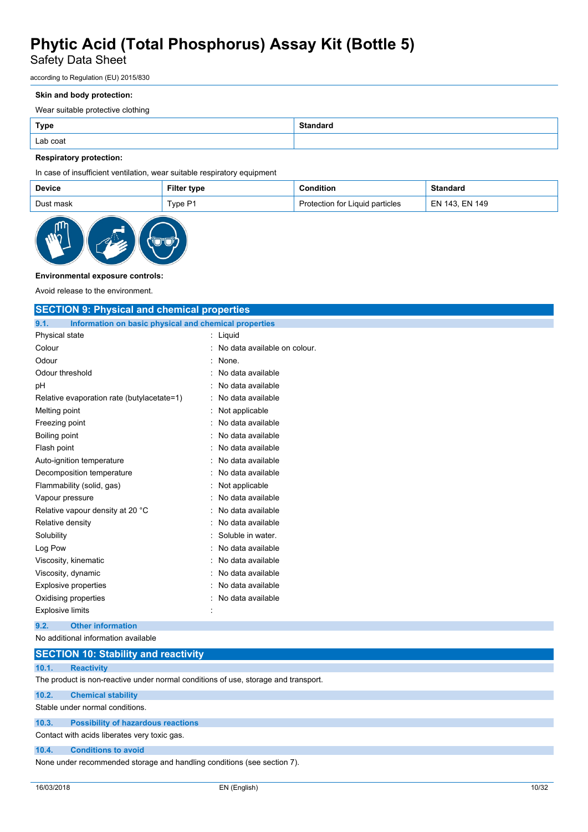### Safety Data Sheet

according to Regulation (EU) 2015/830

#### **Skin and body protection:**

Wear suitable protective clothing

| <b>Type</b> | <b>Standard</b> |
|-------------|-----------------|
| Lab coat    |                 |

#### **Respiratory protection:**

In case of insufficient ventilation, wear suitable respiratory equipment

| Device    | <b>Filter type</b> | Condition                       | Standard       |
|-----------|--------------------|---------------------------------|----------------|
| Dust mask | Type P1            | Protection for Liquid particles | EN 143. EN 149 |



#### **Environmental exposure controls:**

Avoid release to the environment.

| <b>SECTION 9: Physical and chemical properties</b>            |                              |
|---------------------------------------------------------------|------------------------------|
| Information on basic physical and chemical properties<br>9.1. |                              |
| Physical state                                                | : Liquid                     |
| Colour                                                        | No data available on colour. |
| Odour                                                         | $:$ None.                    |
| Odour threshold                                               | No data available            |
| pH                                                            | No data available            |
| Relative evaporation rate (butylacetate=1)                    | No data available            |
| Melting point                                                 | Not applicable               |
| Freezing point                                                | No data available            |
| Boiling point                                                 | No data available            |
| Flash point                                                   | No data available            |
| Auto-ignition temperature                                     | No data available            |
| Decomposition temperature                                     | No data available            |
| Flammability (solid, gas)                                     | : Not applicable             |
| Vapour pressure                                               | No data available            |
| Relative vapour density at 20 °C                              | No data available            |
| Relative density                                              | No data available            |
| Solubility                                                    | Soluble in water.            |
| Log Pow                                                       | No data available            |
| Viscosity, kinematic                                          | No data available            |
| Viscosity, dynamic                                            | No data available            |
| <b>Explosive properties</b>                                   | No data available            |
| Oxidising properties                                          | No data available            |
| <b>Explosive limits</b>                                       |                              |
| <b>Other information</b><br>9.2.                              |                              |
| No additional information available                           |                              |

|       | <b>SECTION 10: Stability and reactivity</b>                                        |
|-------|------------------------------------------------------------------------------------|
| 10.1. | <b>Reactivity</b>                                                                  |
|       | The product is non-reactive under normal conditions of use, storage and transport. |
| 10.2. | <b>Chemical stability</b>                                                          |
|       | Stable under normal conditions.                                                    |
| 10.3. | <b>Possibility of hazardous reactions</b>                                          |
|       | Contact with acids liberates very toxic gas.                                       |

#### **10.4. Conditions to avoid**

None under recommended storage and handling conditions (see section 7).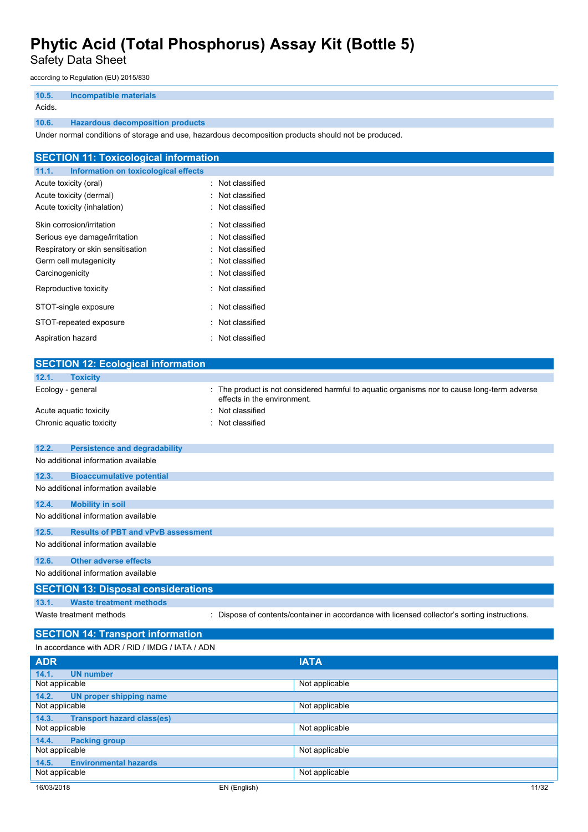Safety Data Sheet

according to Regulation (EU) 2015/830

| 10.5.  | <b>Incompatible materials</b>           |
|--------|-----------------------------------------|
| Acids. |                                         |
| 10.6.  | <b>Hazardous decomposition products</b> |

Under normal conditions of storage and use, hazardous decomposition products should not be produced.

| <b>SECTION 11: Toxicological information</b>  |                  |
|-----------------------------------------------|------------------|
| 11.1.<br>Information on toxicological effects |                  |
| Acute toxicity (oral)                         | : Not classified |
| Acute toxicity (dermal)                       | : Not classified |
| Acute toxicity (inhalation)                   | : Not classified |
| Skin corrosion/irritation                     | : Not classified |
| Serious eye damage/irritation                 | : Not classified |
| Respiratory or skin sensitisation             | : Not classified |
| Germ cell mutagenicity                        | : Not classified |
| Carcinogenicity                               | : Not classified |
| Reproductive toxicity                         | : Not classified |
| STOT-single exposure                          | Not classified   |
| STOT-repeated exposure                        | : Not classified |
| Aspiration hazard                             | : Not classified |

| <b>SECTION 12: Ecological information</b>        |                                                                                                                          |  |  |  |  |
|--------------------------------------------------|--------------------------------------------------------------------------------------------------------------------------|--|--|--|--|
| <b>Toxicity</b><br>12.1.                         |                                                                                                                          |  |  |  |  |
| Ecology - general                                | The product is not considered harmful to aquatic organisms nor to cause long-term adverse<br>effects in the environment. |  |  |  |  |
| Acute aquatic toxicity                           | Not classified                                                                                                           |  |  |  |  |
| Chronic aquatic toxicity                         | Not classified                                                                                                           |  |  |  |  |
| 12.2.<br><b>Persistence and degradability</b>    |                                                                                                                          |  |  |  |  |
| No additional information available              |                                                                                                                          |  |  |  |  |
| 12.3.<br><b>Bioaccumulative potential</b>        |                                                                                                                          |  |  |  |  |
| No additional information available              |                                                                                                                          |  |  |  |  |
| 12.4.<br><b>Mobility in soil</b>                 |                                                                                                                          |  |  |  |  |
| No additional information available              |                                                                                                                          |  |  |  |  |
| 12.5.                                            | <b>Results of PBT and vPvB assessment</b>                                                                                |  |  |  |  |
| No additional information available              |                                                                                                                          |  |  |  |  |
| <b>Other adverse effects</b><br>12.6.            |                                                                                                                          |  |  |  |  |
| No additional information available              |                                                                                                                          |  |  |  |  |
| <b>SECTION 13: Disposal considerations</b>       |                                                                                                                          |  |  |  |  |
| <b>Waste treatment methods</b><br>13.1.          |                                                                                                                          |  |  |  |  |
| Waste treatment methods                          | Dispose of contents/container in accordance with licensed collector's sorting instructions.                              |  |  |  |  |
| <b>SECTION 14: Transport information</b>         |                                                                                                                          |  |  |  |  |
| In accordance with ADR / RID / IMDG / IATA / ADN |                                                                                                                          |  |  |  |  |
| <b>ADR</b>                                       | <b>IATA</b>                                                                                                              |  |  |  |  |
| <b>UN number</b><br>14.1.                        |                                                                                                                          |  |  |  |  |
| Not applicable                                   | Not applicable                                                                                                           |  |  |  |  |

| Not applicable                             | Not applicable        |  |
|--------------------------------------------|-----------------------|--|
| 14.2.<br>UN proper shipping name           |                       |  |
| Not applicable                             | Not applicable        |  |
| 14.3.<br><b>Transport hazard class(es)</b> |                       |  |
| Not applicable                             | Not applicable        |  |
| 14.4.<br><b>Packing group</b>              |                       |  |
| Not applicable                             | Not applicable        |  |
| <b>Environmental hazards</b><br>14.5.      |                       |  |
| Not applicable                             | Not applicable        |  |
| 16/03/2018                                 | 11/32<br>EN (English) |  |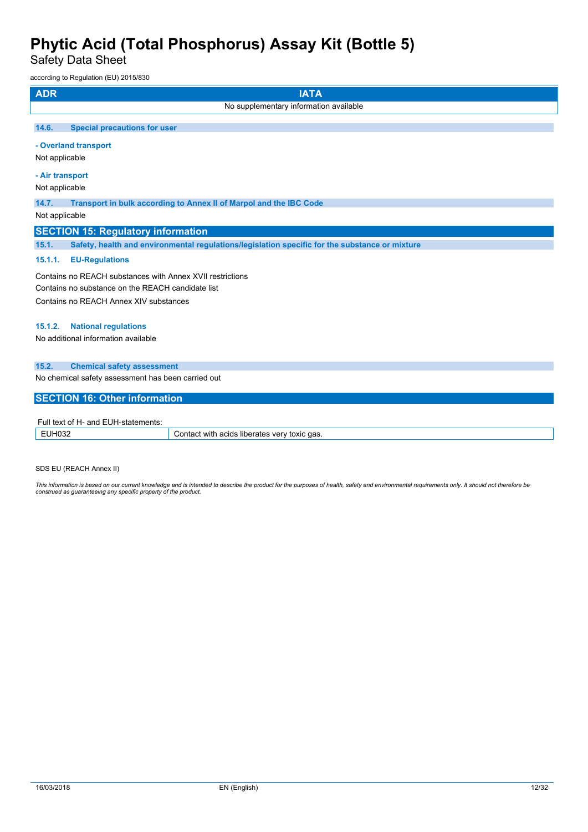Safety Data Sheet

according to Regulation (EU) 2015/830

| <b>ADR</b><br><b>IATA</b>                                                                               |
|---------------------------------------------------------------------------------------------------------|
| No supplementary information available                                                                  |
| 14.6.<br><b>Special precautions for user</b>                                                            |
| - Overland transport                                                                                    |
| Not applicable                                                                                          |
| - Air transport                                                                                         |
| Not applicable                                                                                          |
| 14.7.<br>Transport in bulk according to Annex II of Marpol and the IBC Code                             |
| Not applicable                                                                                          |
| <b>SECTION 15: Regulatory information</b>                                                               |
| Safety, health and environmental regulations/legislation specific for the substance or mixture<br>15.1. |
| 15.1.1.<br><b>EU-Regulations</b>                                                                        |
| Contains no REACH substances with Annex XVII restrictions                                               |
| Contains no substance on the REACH candidate list                                                       |
| Contains no REACH Annex XIV substances                                                                  |
| <b>National regulations</b><br>15.1.2.                                                                  |
| No additional information available                                                                     |
| 15.2.<br><b>Chemical safety assessment</b>                                                              |
| No chemical safety assessment has been carried out                                                      |
| <b>SECTION 16: Other information</b>                                                                    |
| Full text of H- and EUH-statements:                                                                     |

| .<br>-siaiemenis:<br>----<br>- U F I T<br>. . |                                                               |  |  |  |
|-----------------------------------------------|---------------------------------------------------------------|--|--|--|
|                                               | `qas.<br>with<br>acids<br>ver<br>toxic<br>liberates<br>ำกта∟. |  |  |  |

SDS EU (REACH Annex II)

This information is based on our current knowledge and is intended to describe the product for the purposes of health, safety and environmental requirements only. It should not therefore be<br>construed as guaranteeing any sp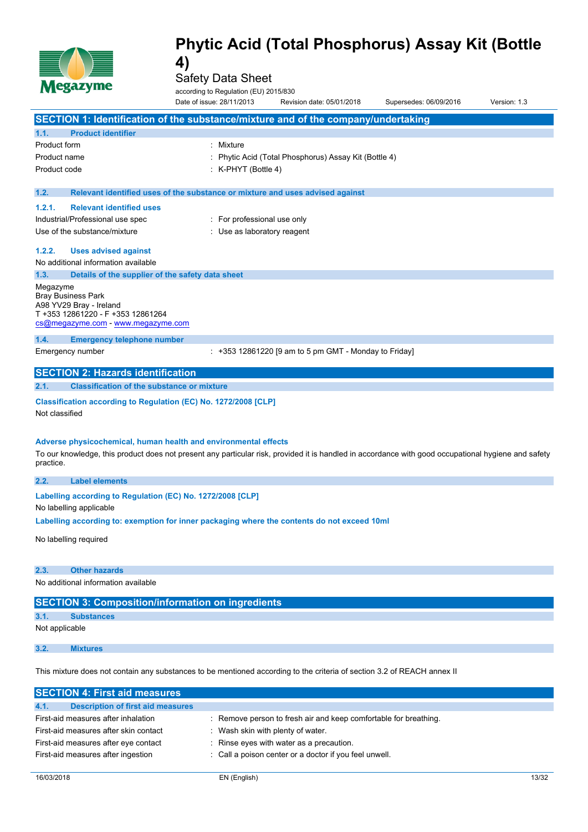

Safety Data Sheet

according to Regulation (EU) 2015/830

|                     | $\mathbf{N}$ . The same $\mathbf{N}$                                                                                                                                                                                   | according to Regulation (EU) 2015/830 |                                                         |                        |              |
|---------------------|------------------------------------------------------------------------------------------------------------------------------------------------------------------------------------------------------------------------|---------------------------------------|---------------------------------------------------------|------------------------|--------------|
|                     |                                                                                                                                                                                                                        | Date of issue: 28/11/2013             | Revision date: 05/01/2018                               | Supersedes: 06/09/2016 | Version: 1.3 |
|                     | SECTION 1: Identification of the substance/mixture and of the company/undertaking                                                                                                                                      |                                       |                                                         |                        |              |
| 1.1.                | <b>Product identifier</b>                                                                                                                                                                                              |                                       |                                                         |                        |              |
| <b>Product form</b> |                                                                                                                                                                                                                        | : Mixture                             |                                                         |                        |              |
| Product name        |                                                                                                                                                                                                                        |                                       | Phytic Acid (Total Phosphorus) Assay Kit (Bottle 4)     |                        |              |
| Product code        |                                                                                                                                                                                                                        | $:$ K-PHYT (Bottle 4)                 |                                                         |                        |              |
|                     |                                                                                                                                                                                                                        |                                       |                                                         |                        |              |
| 1.2.                | Relevant identified uses of the substance or mixture and uses advised against                                                                                                                                          |                                       |                                                         |                        |              |
| 1.2.1.              | <b>Relevant identified uses</b>                                                                                                                                                                                        |                                       |                                                         |                        |              |
|                     | Industrial/Professional use spec                                                                                                                                                                                       | : For professional use only           |                                                         |                        |              |
|                     | Use of the substance/mixture                                                                                                                                                                                           | : Use as laboratory reagent           |                                                         |                        |              |
| 1.2.2.              | <b>Uses advised against</b>                                                                                                                                                                                            |                                       |                                                         |                        |              |
|                     | No additional information available                                                                                                                                                                                    |                                       |                                                         |                        |              |
| 1.3.                | Details of the supplier of the safety data sheet                                                                                                                                                                       |                                       |                                                         |                        |              |
| Megazyme            | <b>Bray Business Park</b><br>A98 YV29 Bray - Ireland<br>T +353 12861220 - F +353 12861264<br>cs@megazyme.com - www.megazyme.com                                                                                        |                                       |                                                         |                        |              |
| 1.4.                | <b>Emergency telephone number</b>                                                                                                                                                                                      |                                       |                                                         |                        |              |
|                     | Emergency number                                                                                                                                                                                                       |                                       | $: +353$ 12861220 [9 am to 5 pm GMT - Monday to Friday] |                        |              |
|                     | <b>SECTION 2: Hazards identification</b>                                                                                                                                                                               |                                       |                                                         |                        |              |
| 2.1.                | <b>Classification of the substance or mixture</b>                                                                                                                                                                      |                                       |                                                         |                        |              |
| Not classified      | Classification according to Regulation (EC) No. 1272/2008 [CLP]                                                                                                                                                        |                                       |                                                         |                        |              |
| practice.           | Adverse physicochemical, human health and environmental effects<br>To our knowledge, this product does not present any particular risk, provided it is handled in accordance with good occupational hygiene and safety |                                       |                                                         |                        |              |
| 2.2.                | <b>Label elements</b>                                                                                                                                                                                                  |                                       |                                                         |                        |              |
|                     | Labelling according to Regulation (EC) No. 1272/2008 [CLP]<br>No labelling applicable                                                                                                                                  |                                       |                                                         |                        |              |
|                     | Labelling according to: exemption for inner packaging where the contents do not exceed 10ml                                                                                                                            |                                       |                                                         |                        |              |
|                     | No labelling required                                                                                                                                                                                                  |                                       |                                                         |                        |              |
| 2.3.                | <b>Other hazards</b>                                                                                                                                                                                                   |                                       |                                                         |                        |              |
|                     | No additional information available                                                                                                                                                                                    |                                       |                                                         |                        |              |
|                     | <b>SECTION 3: Composition/information on ingredients</b>                                                                                                                                                               |                                       |                                                         |                        |              |
| 3.1.                | <b>Substances</b>                                                                                                                                                                                                      |                                       |                                                         |                        |              |
| Not applicable      |                                                                                                                                                                                                                        |                                       |                                                         |                        |              |
| 3.2.                | <b>Mixtures</b>                                                                                                                                                                                                        |                                       |                                                         |                        |              |
|                     | This mixture does not contain any substances to be mentioned according to the criteria of section 3.2 of REACH annex II                                                                                                |                                       |                                                         |                        |              |

| <b>SECTION 4: First aid measures</b>      |                                                                  |
|-------------------------------------------|------------------------------------------------------------------|
| 4.1.<br>Description of first aid measures |                                                                  |
| First-aid measures after inhalation       | : Remove person to fresh air and keep comfortable for breathing. |
| First-aid measures after skin contact     | Wash skin with plenty of water.                                  |
| First-aid measures after eye contact      | : Rinse eyes with water as a precaution.                         |
| First-aid measures after ingestion        | : Call a poison center or a doctor if you feel unwell.           |
|                                           |                                                                  |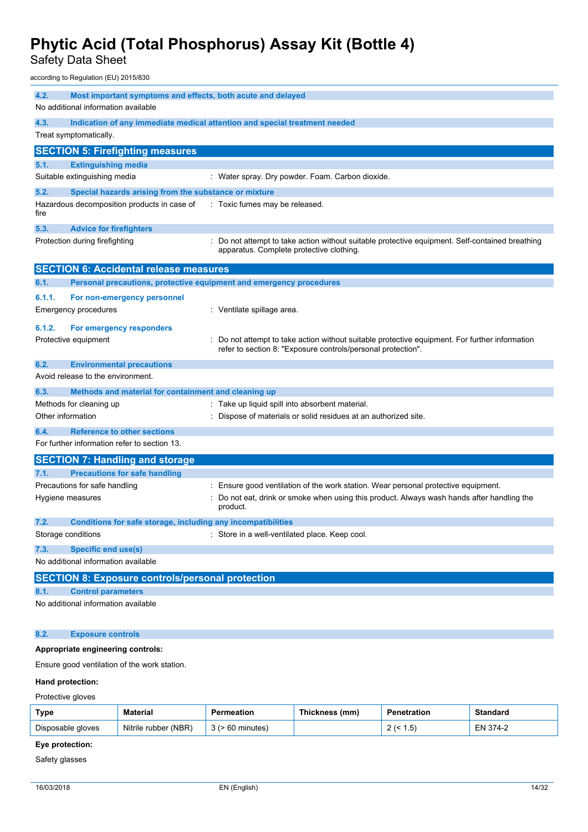Safety Data Sheet

according to Regulation (EU) 2015/830

| 4.2.<br>No additional information available                                                | Most important symptoms and effects, both acute and delayed                                                                                                  |
|--------------------------------------------------------------------------------------------|--------------------------------------------------------------------------------------------------------------------------------------------------------------|
| 4.3.                                                                                       | Indication of any immediate medical attention and special treatment needed                                                                                   |
| Treat symptomatically.                                                                     |                                                                                                                                                              |
| <b>SECTION 5: Firefighting measures</b>                                                    |                                                                                                                                                              |
| <b>Extinguishing media</b><br>5.1.                                                         |                                                                                                                                                              |
| Suitable extinguishing media                                                               | : Water spray. Dry powder. Foam. Carbon dioxide.                                                                                                             |
| 5.2.<br>Special hazards arising from the substance or mixture                              |                                                                                                                                                              |
| Hazardous decomposition products in case of<br>fire                                        | : Toxic fumes may be released.                                                                                                                               |
| 5.3.<br><b>Advice for firefighters</b>                                                     |                                                                                                                                                              |
| Protection during firefighting                                                             | Do not attempt to take action without suitable protective equipment. Self-contained breathing<br>apparatus. Complete protective clothing.                    |
| <b>SECTION 6: Accidental release measures</b>                                              |                                                                                                                                                              |
| 6.1.                                                                                       | Personal precautions, protective equipment and emergency procedures                                                                                          |
| 6.1.1.<br>For non-emergency personnel<br>Emergency procedures                              | Ventilate spillage area.                                                                                                                                     |
| 6.1.2.<br>For emergency responders<br>Protective equipment                                 | Do not attempt to take action without suitable protective equipment. For further information<br>refer to section 8: "Exposure controls/personal protection". |
| 6.2.<br><b>Environmental precautions</b>                                                   |                                                                                                                                                              |
| Avoid release to the environment.                                                          |                                                                                                                                                              |
| 6.3.<br>Methods and material for containment and cleaning up                               |                                                                                                                                                              |
| Methods for cleaning up                                                                    | Take up liquid spill into absorbent material.                                                                                                                |
| Other information                                                                          | Dispose of materials or solid residues at an authorized site.                                                                                                |
| <b>Reference to other sections</b><br>6.4.<br>For further information refer to section 13. |                                                                                                                                                              |
| <b>SECTION 7: Handling and storage</b>                                                     |                                                                                                                                                              |
| <b>Precautions for safe handling</b><br>7.1.                                               |                                                                                                                                                              |
| Precautions for safe handling                                                              | Ensure good ventilation of the work station. Wear personal protective equipment.                                                                             |
| Hygiene measures                                                                           | Do not eat, drink or smoke when using this product. Always wash hands after handling the<br>product.                                                         |
| 7.2.<br>Conditions for safe storage, including any incompatibilities                       |                                                                                                                                                              |
| Storage conditions                                                                         | Store in a well-ventilated place. Keep cool.                                                                                                                 |
| 7.3.<br><b>Specific end use(s)</b>                                                         |                                                                                                                                                              |
| No additional information available                                                        |                                                                                                                                                              |
| <b>SECTION 8: Exposure controls/personal protection</b>                                    |                                                                                                                                                              |
| 8.1.<br><b>Control parameters</b>                                                          |                                                                                                                                                              |
| No additional information available                                                        |                                                                                                                                                              |
| 8.2.<br><b>Exposure controls</b>                                                           |                                                                                                                                                              |

#### **Appropriate engineering controls:**

Ensure good ventilation of the work station.

#### **Hand protection:**

Protective gloves

| Type              | <b>Material</b>      | Permeation   | Thickness (mm) | Penetration      | <b>Standard</b> |
|-------------------|----------------------|--------------|----------------|------------------|-----------------|
| Disposable gloves | Nitrile rubber (NBR) | ⋅60 minutes) |                | ں. ا<br><u>_</u> | EN 374-2        |

### **Eye protection:**

Safety glasses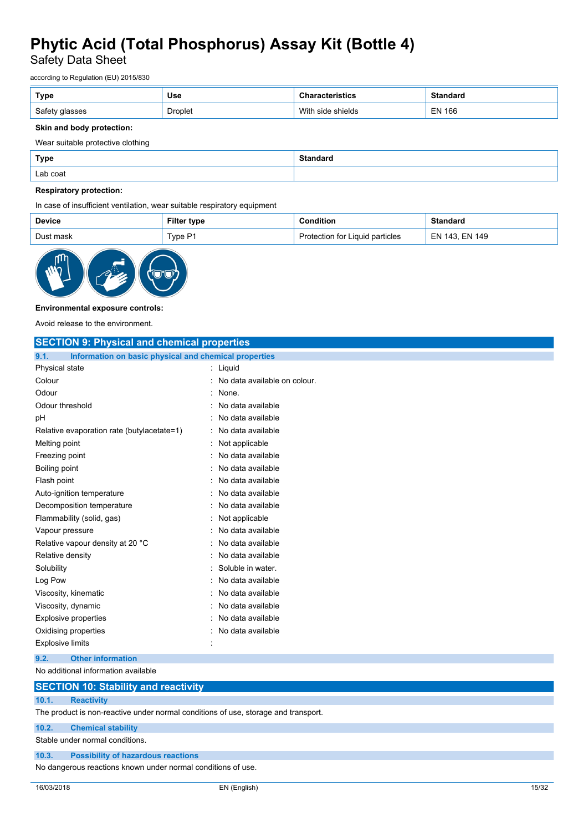Safety Data Sheet

according to Regulation (EU) 2015/830

| Type           | <b>Use</b> | 'istics           | <b>Standard</b> |
|----------------|------------|-------------------|-----------------|
| Safety glasses | Droplet    | With side shields | EN 166          |

#### **Skin and body protection:**

Wear suitable protective clothing

| Type     | <b>Standard</b> |
|----------|-----------------|
| Lab coat |                 |

#### **Respiratory protection:**

In case of insufficient ventilation, wear suitable respiratory equipment

| <b>Device</b> | Filter<br>type | `ondition                           | Standard                   |
|---------------|----------------|-------------------------------------|----------------------------|
| Dust mask     | Tvpe P1        | Liguid particles<br>for<br>ofection | <b>EN 149</b><br>143<br>ΕN |



#### **Environmental exposure controls:**

Avoid release to the environment.

| <b>SECTION 9: Physical and chemical properties</b>            |                                |
|---------------------------------------------------------------|--------------------------------|
| Information on basic physical and chemical properties<br>9.1. |                                |
| Physical state                                                | $:$ Liquid                     |
| Colour                                                        | : No data available on colour. |
| Odour                                                         | : None.                        |
| Odour threshold                                               | : No data available            |
| рH                                                            | No data available              |
| Relative evaporation rate (butylacetate=1)                    | : No data available            |
| Melting point                                                 | Not applicable                 |
| Freezing point                                                | No data available              |
| Boiling point                                                 | No data available              |
| Flash point                                                   | : No data available            |
| Auto-ignition temperature                                     | No data available              |
| Decomposition temperature                                     | : No data available            |
| Flammability (solid, gas)                                     | Not applicable                 |
| Vapour pressure                                               | : No data available            |
| Relative vapour density at 20 °C                              | No data available              |
| Relative density                                              | No data available              |
| Solubility                                                    | Soluble in water.              |
| Log Pow                                                       | No data available              |
| Viscosity, kinematic                                          | No data available              |
| Viscosity, dynamic                                            | No data available              |
| <b>Explosive properties</b>                                   | No data available              |
| Oxidising properties                                          | : No data available            |
| <b>Explosive limits</b>                                       |                                |
| <b>Other information</b><br>9.2.                              |                                |
| No additional information available                           |                                |

### **SECTION 10: Stability and reactivity 10.1. Reactivity**

The product is non-reactive under normal conditions of use, storage and transport.

**10.2. Chemical stability**

Stable under normal conditions.

#### **10.3. Possibility of hazardous reactions**

No dangerous reactions known under normal conditions of use.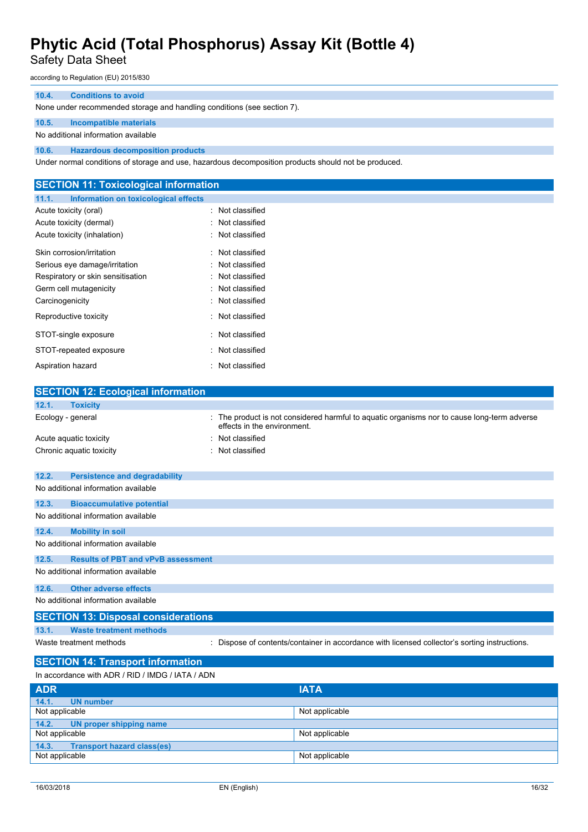Safety Data Sheet

according to Regulation (EU) 2015/830

#### **10.4. Conditions to avoid**

None under recommended storage and handling conditions (see section 7).

#### **10.5. Incompatible materials**

No additional information available

**10.6. Hazardous decomposition products**

Under normal conditions of storage and use, hazardous decomposition products should not be produced.

| <b>SECTION 11: Toxicological information</b>  |                     |  |
|-----------------------------------------------|---------------------|--|
| 11.1.<br>Information on toxicological effects |                     |  |
| Acute toxicity (oral)                         | : Not classified    |  |
| Acute toxicity (dermal)                       | Not classified      |  |
| Acute toxicity (inhalation)                   | : Not classified    |  |
| Skin corrosion/irritation                     | : Not classified    |  |
| Serious eye damage/irritation                 | : Not classified    |  |
| Respiratory or skin sensitisation             | Not classified      |  |
| Germ cell mutagenicity                        | : Not classified    |  |
| Carcinogenicity                               | Not classified      |  |
| Reproductive toxicity                         | : Not classified    |  |
| STOT-single exposure                          | : Not classified    |  |
| STOT-repeated exposure                        | Not classified<br>٠ |  |
| Aspiration hazard                             | : Not classified    |  |
|                                               |                     |  |
| <b>SECTION 12: Ecological information</b>     |                     |  |

| 12.1.<br><b>Toxicity</b>                           |                                                                                                                          |
|----------------------------------------------------|--------------------------------------------------------------------------------------------------------------------------|
| Ecology - general                                  | The product is not considered harmful to aquatic organisms nor to cause long-term adverse<br>effects in the environment. |
| Acute aguatic toxicity                             | Not classified                                                                                                           |
| Chronic aquatic toxicity                           | Not classified                                                                                                           |
| 12.2.<br><b>Persistence and degradability</b>      |                                                                                                                          |
| No additional information available                |                                                                                                                          |
| 12.3.<br><b>Bioaccumulative potential</b>          |                                                                                                                          |
| No additional information available                |                                                                                                                          |
| 12.4.<br><b>Mobility in soil</b>                   |                                                                                                                          |
| No additional information available                |                                                                                                                          |
| <b>Results of PBT and vPvB assessment</b><br>12.5. |                                                                                                                          |
| No additional information available                |                                                                                                                          |
| 12.6.<br><b>Other adverse effects</b>              |                                                                                                                          |
| No additional information available                |                                                                                                                          |
| <b>SECTION 13: Disposal considerations</b>         |                                                                                                                          |
| 13.1.<br><b>Waste treatment methods</b>            |                                                                                                                          |
| Waste treatment methods                            | Dispose of contents/container in accordance with licensed collector's sorting instructions.                              |
| <b>SECTION 14: Transport information</b>           |                                                                                                                          |
| In accordance with ADR / RID / IMDG / IATA / ADN   |                                                                                                                          |
| <b>ADD</b>                                         | <b>IATA</b>                                                                                                              |

| <b>ADR</b>                                 | <b>IATA</b>    |
|--------------------------------------------|----------------|
| 14.1.<br><b>UN</b> number                  |                |
| Not applicable                             | Not applicable |
| 14.2. UN proper shipping name              |                |
| Not applicable                             | Not applicable |
| 14.3.<br><b>Transport hazard class(es)</b> |                |
| Not applicable                             | Not applicable |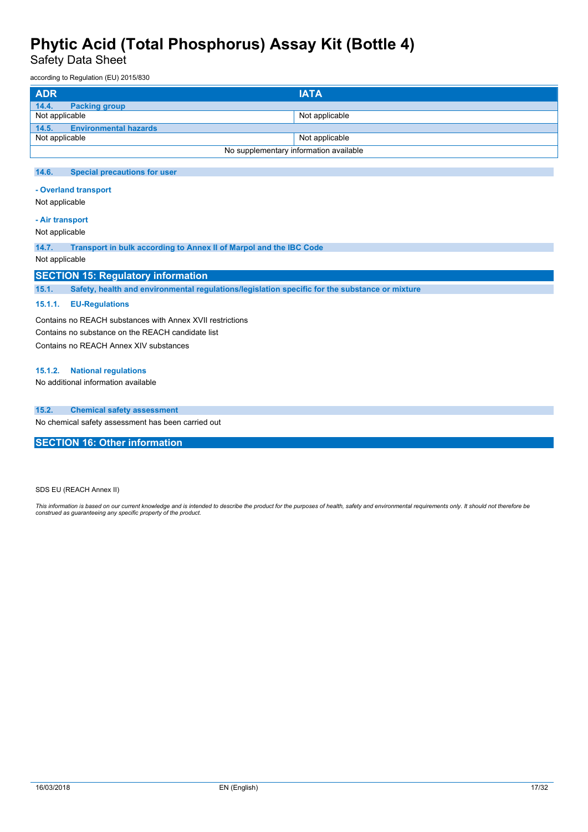Safety Data Sheet

according to Regulation (EU) 2015/830

| <b>ADR</b>                            | <b>IATA</b>                            |
|---------------------------------------|----------------------------------------|
| 14.4.<br><b>Packing group</b>         |                                        |
| Not applicable                        | Not applicable                         |
| 14.5.<br><b>Environmental hazards</b> |                                        |
| Not applicable                        | Not applicable                         |
|                                       | No supplementary information available |

#### **14.6. Special precautions for user**

**- Overland transport**

Not applicable

#### **- Air transport**

Not applicable

**14.7. Transport in bulk according to Annex II of Marpol and the IBC Code**

#### Not applicable

#### **SECTION 15: Regulatory information**

**15.1. Safety, health and environmental regulations/legislation specific for the substance or mixture**

#### **15.1.1. EU-Regulations**

Contains no REACH substances with Annex XVII restrictions Contains no substance on the REACH candidate list Contains no REACH Annex XIV substances

#### **15.1.2. National regulations**

No additional information available

#### **15.2. Chemical safety assessment**

No chemical safety assessment has been carried out

**SECTION 16: Other information**

SDS EU (REACH Annex II)

This information is based on our current knowledge and is intended to describe the product for the purposes of health, safety and environmental requirements only. It should not therefore be<br>construed as guaranteeing any sp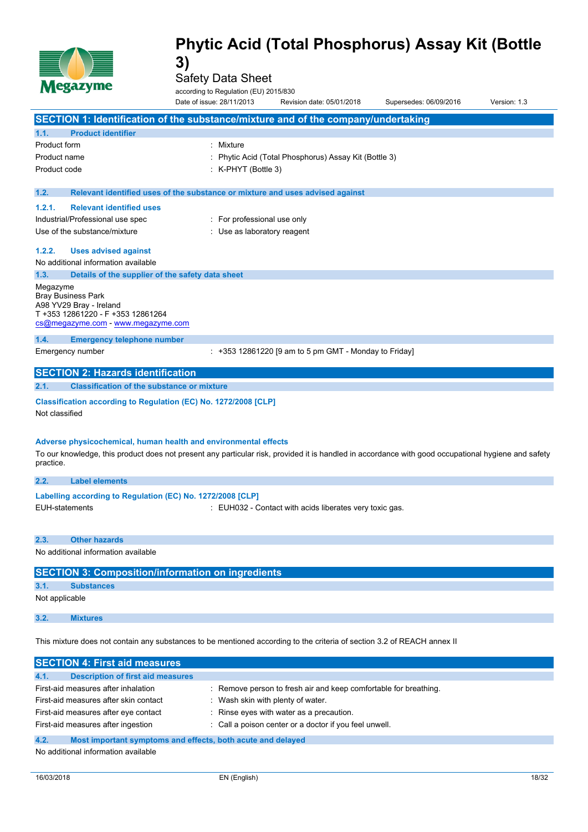

Safety Data Sheet

according to Regulation (EU) 2015/830

|                     | <b>NPS--7---</b>                                                                                                                                                                                                       | according to Regulation (EU) 2015/830<br>Date of issue: 28/11/2013 | Revision date: 05/01/2018                               | Supersedes: 06/09/2016 | Version: 1.3 |
|---------------------|------------------------------------------------------------------------------------------------------------------------------------------------------------------------------------------------------------------------|--------------------------------------------------------------------|---------------------------------------------------------|------------------------|--------------|
|                     | SECTION 1: Identification of the substance/mixture and of the company/undertaking                                                                                                                                      |                                                                    |                                                         |                        |              |
| 1.1.                | <b>Product identifier</b>                                                                                                                                                                                              |                                                                    |                                                         |                        |              |
| <b>Product form</b> |                                                                                                                                                                                                                        | : Mixture                                                          |                                                         |                        |              |
| Product name        |                                                                                                                                                                                                                        |                                                                    | Phytic Acid (Total Phosphorus) Assay Kit (Bottle 3)     |                        |              |
| Product code        |                                                                                                                                                                                                                        | : K-PHYT (Bottle 3)                                                |                                                         |                        |              |
| 1.2.                | Relevant identified uses of the substance or mixture and uses advised against                                                                                                                                          |                                                                    |                                                         |                        |              |
| 1.2.1.              | <b>Relevant identified uses</b>                                                                                                                                                                                        |                                                                    |                                                         |                        |              |
|                     | Industrial/Professional use spec                                                                                                                                                                                       | : For professional use only                                        |                                                         |                        |              |
|                     | Use of the substance/mixture                                                                                                                                                                                           | : Use as laboratory reagent                                        |                                                         |                        |              |
| 1.2.2.              | <b>Uses advised against</b>                                                                                                                                                                                            |                                                                    |                                                         |                        |              |
|                     | No additional information available                                                                                                                                                                                    |                                                                    |                                                         |                        |              |
| 1.3.                | Details of the supplier of the safety data sheet                                                                                                                                                                       |                                                                    |                                                         |                        |              |
| Megazyme            | <b>Bray Business Park</b><br>A98 YV29 Bray - Ireland<br>T +353 12861220 - F +353 12861264<br>cs@megazyme.com - www.megazyme.com                                                                                        |                                                                    |                                                         |                        |              |
| 1.4.                | <b>Emergency telephone number</b>                                                                                                                                                                                      |                                                                    |                                                         |                        |              |
|                     | Emergency number                                                                                                                                                                                                       |                                                                    | $: +353$ 12861220 [9 am to 5 pm GMT - Monday to Friday] |                        |              |
|                     | <b>SECTION 2: Hazards identification</b>                                                                                                                                                                               |                                                                    |                                                         |                        |              |
| 2.1.                | <b>Classification of the substance or mixture</b>                                                                                                                                                                      |                                                                    |                                                         |                        |              |
| Not classified      | Classification according to Regulation (EC) No. 1272/2008 [CLP]                                                                                                                                                        |                                                                    |                                                         |                        |              |
| practice.           | Adverse physicochemical, human health and environmental effects<br>To our knowledge, this product does not present any particular risk, provided it is handled in accordance with good occupational hygiene and safety |                                                                    |                                                         |                        |              |
| 2.2.                | <b>Label elements</b>                                                                                                                                                                                                  |                                                                    |                                                         |                        |              |
|                     | Labelling according to Regulation (EC) No. 1272/2008 [CLP]                                                                                                                                                             |                                                                    |                                                         |                        |              |
|                     | <b>EUH-statements</b>                                                                                                                                                                                                  |                                                                    | : EUH032 - Contact with acids liberates very toxic gas. |                        |              |
| 2.3.                | <b>Other hazards</b>                                                                                                                                                                                                   |                                                                    |                                                         |                        |              |
|                     | No additional information available                                                                                                                                                                                    |                                                                    |                                                         |                        |              |
|                     | <b>SECTION 3: Composition/information on ingredients</b>                                                                                                                                                               |                                                                    |                                                         |                        |              |
| 3.1.                | <b>Substances</b>                                                                                                                                                                                                      |                                                                    |                                                         |                        |              |
| Not applicable      |                                                                                                                                                                                                                        |                                                                    |                                                         |                        |              |
| 3.2.                | <b>Mixtures</b>                                                                                                                                                                                                        |                                                                    |                                                         |                        |              |

This mixture does not contain any substances to be mentioned according to the criteria of section 3.2 of REACH annex II

| <b>SECTION 4: First aid measures</b>                                |                                                                  |
|---------------------------------------------------------------------|------------------------------------------------------------------|
| 4.1.<br><b>Description of first aid measures</b>                    |                                                                  |
|                                                                     |                                                                  |
| First-aid measures after inhalation                                 | : Remove person to fresh air and keep comfortable for breathing. |
| First-aid measures after skin contact                               | : Wash skin with plenty of water.                                |
| First-aid measures after eye contact                                | : Rinse eyes with water as a precaution.                         |
| First-aid measures after ingestion                                  | : Call a poison center or a doctor if you feel unwell.           |
| 4.2.<br>Most important symptoms and effects, both acute and delayed |                                                                  |

No additional information available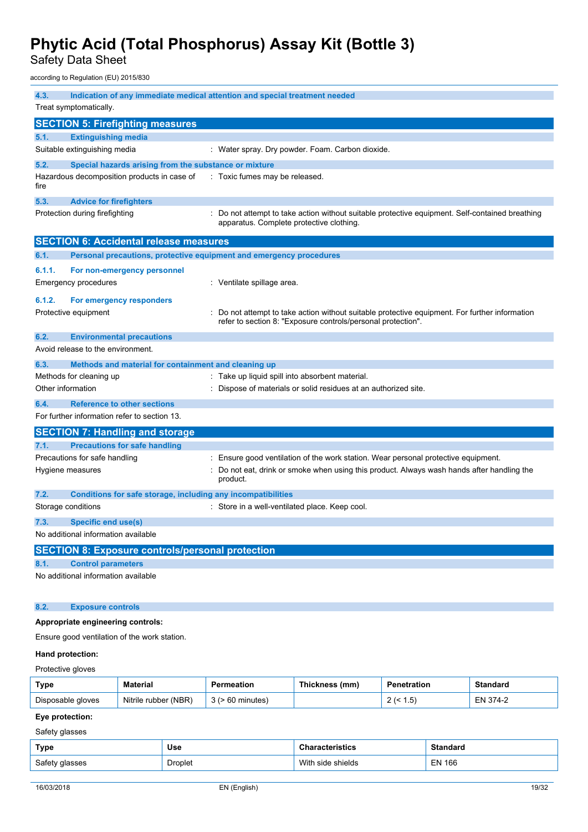Safety Data Sheet

according to Regulation (EU) 2015/830

| 4.3.              | Indication of any immediate medical attention and special treatment needed |                                                                                                                                                              |  |  |  |
|-------------------|----------------------------------------------------------------------------|--------------------------------------------------------------------------------------------------------------------------------------------------------------|--|--|--|
|                   | Treat symptomatically.                                                     |                                                                                                                                                              |  |  |  |
|                   | <b>SECTION 5: Firefighting measures</b>                                    |                                                                                                                                                              |  |  |  |
| 5.1.              | <b>Extinguishing media</b>                                                 |                                                                                                                                                              |  |  |  |
|                   | Suitable extinguishing media                                               | : Water spray. Dry powder. Foam. Carbon dioxide.                                                                                                             |  |  |  |
| 5.2.              | Special hazards arising from the substance or mixture                      |                                                                                                                                                              |  |  |  |
| fire              | Hazardous decomposition products in case of                                | : Toxic fumes may be released.                                                                                                                               |  |  |  |
| 5.3.              | <b>Advice for firefighters</b>                                             |                                                                                                                                                              |  |  |  |
|                   | Protection during firefighting                                             | : Do not attempt to take action without suitable protective equipment. Self-contained breathing<br>apparatus. Complete protective clothing.                  |  |  |  |
|                   | <b>SECTION 6: Accidental release measures</b>                              |                                                                                                                                                              |  |  |  |
| 6.1.              | Personal precautions, protective equipment and emergency procedures        |                                                                                                                                                              |  |  |  |
| 6.1.1.            | For non-emergency personnel                                                |                                                                                                                                                              |  |  |  |
|                   | <b>Emergency procedures</b>                                                | : Ventilate spillage area.                                                                                                                                   |  |  |  |
| 6.1.2.            | For emergency responders                                                   |                                                                                                                                                              |  |  |  |
|                   | Protective equipment                                                       | Do not attempt to take action without suitable protective equipment. For further information<br>refer to section 8: "Exposure controls/personal protection". |  |  |  |
| 6.2.              | <b>Environmental precautions</b>                                           |                                                                                                                                                              |  |  |  |
|                   | Avoid release to the environment.                                          |                                                                                                                                                              |  |  |  |
| 6.3.              | Methods and material for containment and cleaning up                       |                                                                                                                                                              |  |  |  |
|                   | Methods for cleaning up                                                    | Take up liquid spill into absorbent material.                                                                                                                |  |  |  |
| Other information |                                                                            | Dispose of materials or solid residues at an authorized site.                                                                                                |  |  |  |
| 6.4.              | <b>Reference to other sections</b>                                         |                                                                                                                                                              |  |  |  |
|                   | For further information refer to section 13.                               |                                                                                                                                                              |  |  |  |
|                   | <b>SECTION 7: Handling and storage</b>                                     |                                                                                                                                                              |  |  |  |
| 7.1.              | <b>Precautions for safe handling</b>                                       |                                                                                                                                                              |  |  |  |
|                   | Precautions for safe handling                                              | : Ensure good ventilation of the work station. Wear personal protective equipment.                                                                           |  |  |  |
|                   | Hygiene measures                                                           | Do not eat, drink or smoke when using this product. Always wash hands after handling the<br>product.                                                         |  |  |  |
| 7.2.              | Conditions for safe storage, including any incompatibilities               |                                                                                                                                                              |  |  |  |
|                   | Storage conditions                                                         | : Store in a well-ventilated place. Keep cool.                                                                                                               |  |  |  |
| 7.3.              | <b>Specific end use(s)</b>                                                 |                                                                                                                                                              |  |  |  |
|                   | No additional information available                                        |                                                                                                                                                              |  |  |  |
|                   | <b>SECTION 8: Exposure controls/personal protection</b>                    |                                                                                                                                                              |  |  |  |
| 8.1.              | <b>Control parameters</b>                                                  |                                                                                                                                                              |  |  |  |
|                   | No additional information available                                        |                                                                                                                                                              |  |  |  |
|                   |                                                                            |                                                                                                                                                              |  |  |  |
| 8.2.              | <b>Exposure controls</b>                                                   |                                                                                                                                                              |  |  |  |
|                   | Appropriate engineering controls:                                          |                                                                                                                                                              |  |  |  |
|                   | Ensure good ventilation of the work station.                               |                                                                                                                                                              |  |  |  |

### **Hand protection:**

Protective gloves

| Type              | Material                | eation  | Thickness (mm) | Penetration     | Standard     |
|-------------------|-------------------------|---------|----------------|-----------------|--------------|
| Disposable gloves | (NBR)<br>Nitrile rubber | ninutes |                | l.5<br><u>.</u> | – N<br>. 44- |

#### **Eye protection:**

Safety glasses

| Type           | Use     | <b>Characteristics</b> | Standaro      |
|----------------|---------|------------------------|---------------|
| Safety glasses | Droplet | With side shields      | <b>EN 166</b> |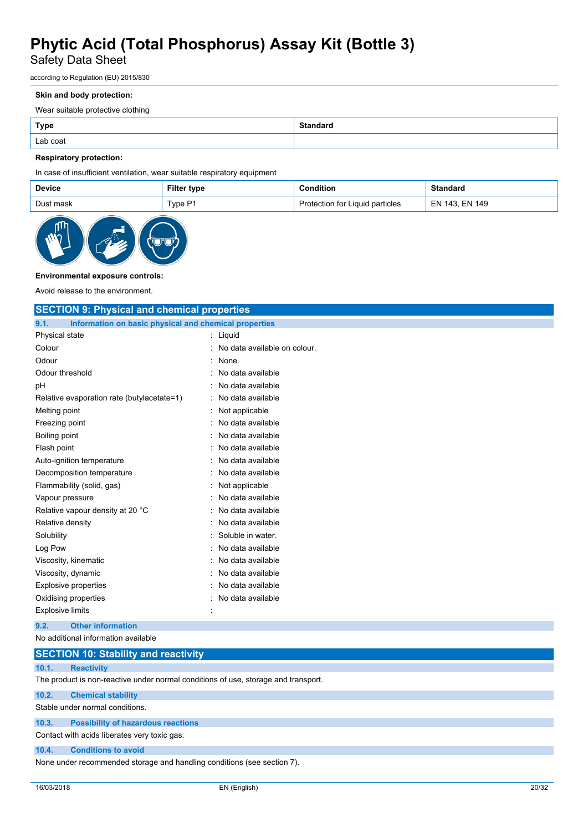Safety Data Sheet

according to Regulation (EU) 2015/830

#### **Skin and body protection:**

Wear suitable protective clothing

| <b>Type</b> | <b>Standard</b> |
|-------------|-----------------|
| Lab coat    |                 |

#### **Respiratory protection:**

In case of insufficient ventilation, wear suitable respiratory equipment

| Device    | <b>Filter type</b> | Condition                       | Standard       |
|-----------|--------------------|---------------------------------|----------------|
| Dust mask | Type P1            | Protection for Liquid particles | EN 143. EN 149 |



#### **Environmental exposure controls:**

Avoid release to the environment.

| <b>SECTION 9: Physical and chemical properties</b>            |                              |  |
|---------------------------------------------------------------|------------------------------|--|
| 9.1.<br>Information on basic physical and chemical properties |                              |  |
| Physical state                                                | : Liquid                     |  |
| Colour                                                        | No data available on colour. |  |
| Odour                                                         | None.                        |  |
| Odour threshold                                               | No data available            |  |
| pH                                                            | No data available            |  |
| Relative evaporation rate (butylacetate=1)                    | No data available            |  |
| Melting point                                                 | Not applicable               |  |
| Freezing point                                                | No data available            |  |
| <b>Boiling point</b>                                          | No data available            |  |
| Flash point                                                   | No data available            |  |
| Auto-ignition temperature                                     | No data available            |  |
| Decomposition temperature                                     | No data available            |  |
| Flammability (solid, gas)                                     | Not applicable               |  |
| Vapour pressure                                               | No data available            |  |
| Relative vapour density at 20 °C                              | No data available            |  |
| Relative density                                              | No data available            |  |
| Solubility                                                    | Soluble in water.            |  |
| Log Pow                                                       | No data available            |  |
| Viscosity, kinematic                                          | No data available            |  |
| Viscosity, dynamic                                            | No data available            |  |
| <b>Explosive properties</b>                                   | No data available            |  |
| Oxidising properties                                          | No data available            |  |
| <b>Explosive limits</b>                                       |                              |  |
| <b>Other information</b><br>9.2.                              |                              |  |
| No additional information available                           |                              |  |

|       | <b>SECTION 10: Stability and reactivity</b>                                        |
|-------|------------------------------------------------------------------------------------|
| 10.1. | <b>Reactivity</b>                                                                  |
|       | The product is non-reactive under normal conditions of use, storage and transport. |
| 10.2. | <b>Chemical stability</b>                                                          |
|       | Stable under normal conditions.                                                    |
| 10.3. | <b>Possibility of hazardous reactions</b>                                          |

Contact with acids liberates very toxic gas.

#### **10.4. Conditions to avoid**

None under recommended storage and handling conditions (see section 7).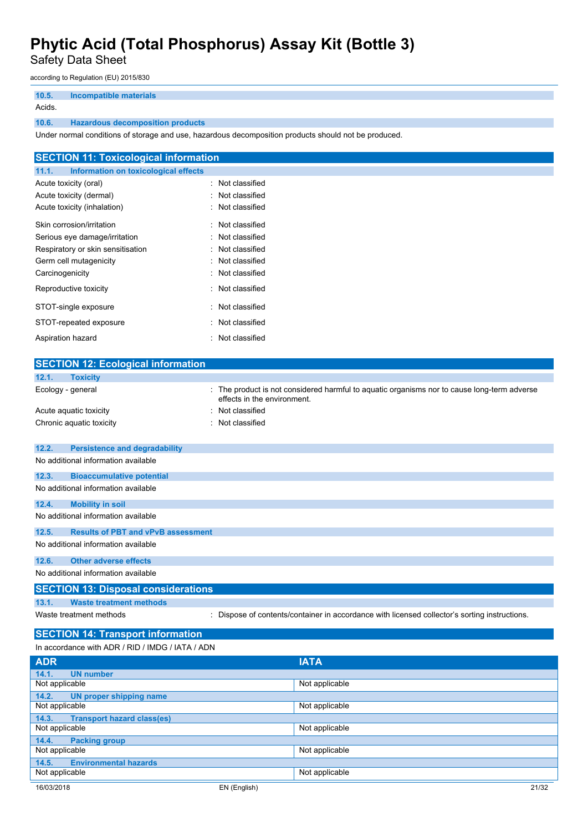Safety Data Sheet

according to Regulation (EU) 2015/830

| 10.5.  | Incompatible materials                  |
|--------|-----------------------------------------|
| Acids. |                                         |
| 10.6.  | <b>Hazardous decomposition products</b> |

Under normal conditions of storage and use, hazardous decomposition products should not be produced.

| <b>SECTION 11: Toxicological information</b>  |                  |
|-----------------------------------------------|------------------|
| 11.1.<br>Information on toxicological effects |                  |
| Acute toxicity (oral)                         | : Not classified |
| Acute toxicity (dermal)                       | : Not classified |
| Acute toxicity (inhalation)                   | : Not classified |
| Skin corrosion/irritation                     | : Not classified |
| Serious eye damage/irritation                 | : Not classified |
| Respiratory or skin sensitisation             | : Not classified |
| Germ cell mutagenicity                        | : Not classified |
| Carcinogenicity                               | : Not classified |
| Reproductive toxicity                         | : Not classified |
| STOT-single exposure                          | : Not classified |
| STOT-repeated exposure                        | : Not classified |
| Aspiration hazard                             | : Not classified |

| <b>SECTION 12: Ecological information</b>          |                             |                                                                                             |
|----------------------------------------------------|-----------------------------|---------------------------------------------------------------------------------------------|
| <b>Toxicity</b><br>12.1.                           |                             |                                                                                             |
| Ecology - general                                  | effects in the environment. | The product is not considered harmful to aquatic organisms nor to cause long-term adverse   |
| Acute aquatic toxicity                             | Not classified              |                                                                                             |
| Chronic aquatic toxicity                           | Not classified              |                                                                                             |
| <b>Persistence and degradability</b><br>12.2.      |                             |                                                                                             |
| No additional information available                |                             |                                                                                             |
| 12.3.<br><b>Bioaccumulative potential</b>          |                             |                                                                                             |
| No additional information available                |                             |                                                                                             |
| 12.4.<br><b>Mobility in soil</b>                   |                             |                                                                                             |
| No additional information available                |                             |                                                                                             |
| <b>Results of PBT and vPvB assessment</b><br>12.5. |                             |                                                                                             |
| No additional information available                |                             |                                                                                             |
| <b>Other adverse effects</b><br>12.6.              |                             |                                                                                             |
| No additional information available                |                             |                                                                                             |
| <b>SECTION 13: Disposal considerations</b>         |                             |                                                                                             |
| 13.1.<br><b>Waste treatment methods</b>            |                             |                                                                                             |
| Waste treatment methods                            |                             | Dispose of contents/container in accordance with licensed collector's sorting instructions. |
| <b>SECTION 14: Transport information</b>           |                             |                                                                                             |
| In accordance with ADR / RID / IMDG / IATA / ADN   |                             |                                                                                             |
| <b>ADR</b>                                         |                             | <b>IATA</b>                                                                                 |
| 14.1.<br><b>UN number</b>                          |                             |                                                                                             |
| Not applicable                                     |                             | Not applicable                                                                              |
| <b>UN proper shipping name</b><br>14.2.            |                             |                                                                                             |
| Not applicable                                     |                             | Not applicable                                                                              |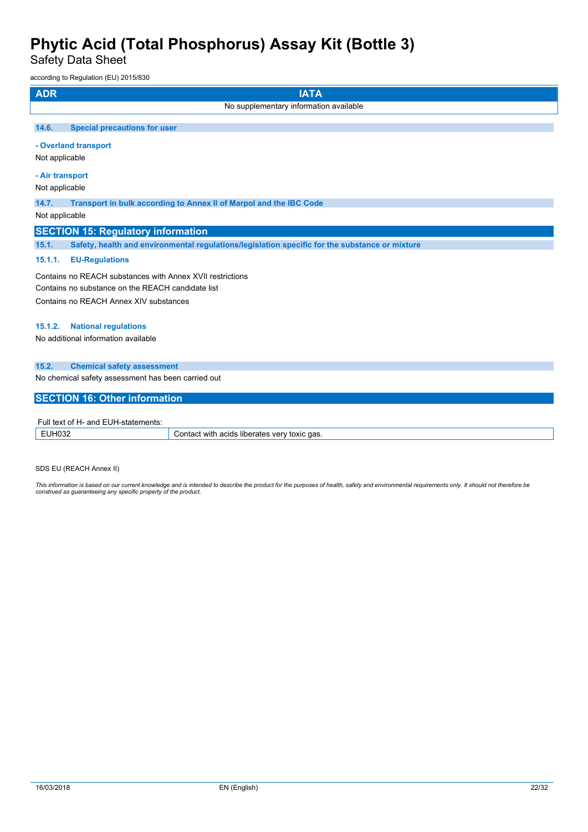Safety Data Sheet

according to Regulation (EU) 2015/830

| <b>ADR</b><br><b>IATA</b>                                                                               |
|---------------------------------------------------------------------------------------------------------|
| No supplementary information available                                                                  |
| 14.6.<br><b>Special precautions for user</b>                                                            |
| - Overland transport                                                                                    |
| Not applicable                                                                                          |
| - Air transport                                                                                         |
| Not applicable                                                                                          |
| 14.7.<br>Transport in bulk according to Annex II of Marpol and the IBC Code                             |
| Not applicable                                                                                          |
| <b>SECTION 15: Regulatory information</b>                                                               |
| Safety, health and environmental regulations/legislation specific for the substance or mixture<br>15.1. |
| 15.1.1.<br><b>EU-Regulations</b>                                                                        |
| Contains no REACH substances with Annex XVII restrictions                                               |
| Contains no substance on the REACH candidate list                                                       |
| Contains no REACH Annex XIV substances                                                                  |
| <b>National regulations</b><br>15.1.2.                                                                  |
| No additional information available                                                                     |
| 15.2.<br><b>Chemical safety assessment</b>                                                              |
| No chemical safety assessment has been carried out                                                      |
| <b>SECTION 16: Other information</b>                                                                    |
| Full text of H- and EUH-statements:                                                                     |

| .<br>-siaiemenis:<br>----<br>- U F I T<br>. . |                                                               |
|-----------------------------------------------|---------------------------------------------------------------|
|                                               | `qas.<br>with<br>acids<br>ver<br>toxic<br>liberates<br>ำกта∟. |

SDS EU (REACH Annex II)

This information is based on our current knowledge and is intended to describe the product for the purposes of health, safety and environmental requirements only. It should not therefore be<br>construed as guaranteeing any sp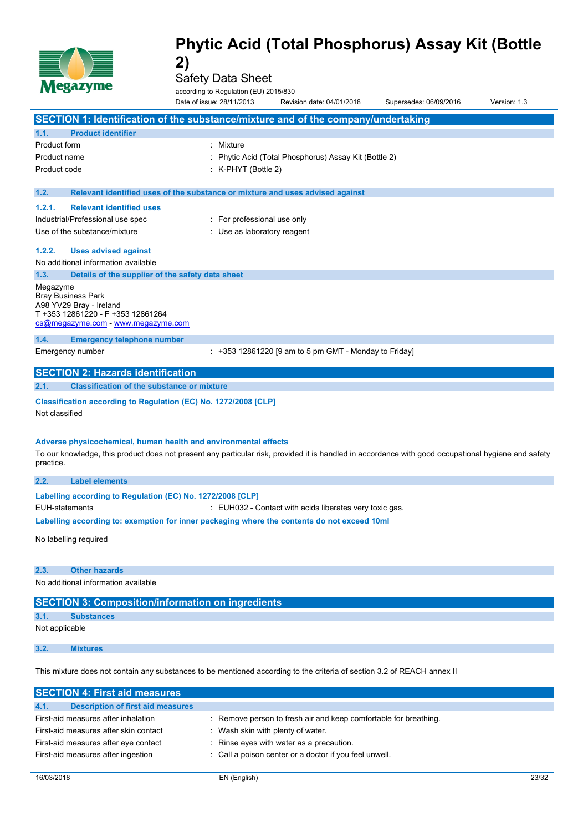

Safety Data Sheet

according to Regulation (EU) 2015/830

|                                                                  |                                                                         | according to Regulation (EU) 2015/830                           |                                                                                             |                                                                                                                                                     |              |
|------------------------------------------------------------------|-------------------------------------------------------------------------|-----------------------------------------------------------------|---------------------------------------------------------------------------------------------|-----------------------------------------------------------------------------------------------------------------------------------------------------|--------------|
|                                                                  |                                                                         | Date of issue: 28/11/2013                                       | Revision date: 04/01/2018                                                                   | Supersedes: 06/09/2016                                                                                                                              | Version: 1.3 |
|                                                                  |                                                                         |                                                                 | SECTION 1: Identification of the substance/mixture and of the company/undertaking           |                                                                                                                                                     |              |
| 1.1.                                                             | <b>Product identifier</b>                                               |                                                                 |                                                                                             |                                                                                                                                                     |              |
| Product form                                                     |                                                                         | : Mixture                                                       |                                                                                             |                                                                                                                                                     |              |
| Product name                                                     |                                                                         |                                                                 | Phytic Acid (Total Phosphorus) Assay Kit (Bottle 2)                                         |                                                                                                                                                     |              |
| Product code                                                     |                                                                         | $:$ K-PHYT (Bottle 2)                                           |                                                                                             |                                                                                                                                                     |              |
|                                                                  |                                                                         |                                                                 |                                                                                             |                                                                                                                                                     |              |
| 1.2.                                                             |                                                                         |                                                                 | Relevant identified uses of the substance or mixture and uses advised against               |                                                                                                                                                     |              |
| 1.2.1.                                                           | <b>Relevant identified uses</b>                                         |                                                                 |                                                                                             |                                                                                                                                                     |              |
|                                                                  | Industrial/Professional use spec                                        | : For professional use only                                     |                                                                                             |                                                                                                                                                     |              |
|                                                                  | Use of the substance/mixture                                            | : Use as laboratory reagent                                     |                                                                                             |                                                                                                                                                     |              |
| 1.2.2.                                                           | <b>Uses advised against</b>                                             |                                                                 |                                                                                             |                                                                                                                                                     |              |
|                                                                  | No additional information available                                     |                                                                 |                                                                                             |                                                                                                                                                     |              |
| 1.3.                                                             | Details of the supplier of the safety data sheet                        |                                                                 |                                                                                             |                                                                                                                                                     |              |
| Megazyme<br><b>Bray Business Park</b><br>A98 YV29 Bray - Ireland | T +353 12861220 - F +353 12861264<br>cs@megazyme.com - www.megazyme.com |                                                                 |                                                                                             |                                                                                                                                                     |              |
| 1.4.                                                             | <b>Emergency telephone number</b>                                       |                                                                 |                                                                                             |                                                                                                                                                     |              |
| Emergency number                                                 |                                                                         |                                                                 | $: +353$ 12861220 [9 am to 5 pm GMT - Monday to Friday]                                     |                                                                                                                                                     |              |
|                                                                  | <b>SECTION 2: Hazards identification</b>                                |                                                                 |                                                                                             |                                                                                                                                                     |              |
| 2.1.                                                             | <b>Classification of the substance or mixture</b>                       |                                                                 |                                                                                             |                                                                                                                                                     |              |
| Not classified                                                   |                                                                         | Classification according to Regulation (EC) No. 1272/2008 [CLP] |                                                                                             |                                                                                                                                                     |              |
|                                                                  |                                                                         | Adverse physicochemical, human health and environmental effects |                                                                                             |                                                                                                                                                     |              |
| practice.                                                        |                                                                         |                                                                 |                                                                                             | To our knowledge, this product does not present any particular risk, provided it is handled in accordance with good occupational hygiene and safety |              |
| 2.2.                                                             | <b>Label elements</b>                                                   |                                                                 |                                                                                             |                                                                                                                                                     |              |
|                                                                  |                                                                         |                                                                 |                                                                                             |                                                                                                                                                     |              |
|                                                                  | Labelling according to Regulation (EC) No. 1272/2008 [CLP]              |                                                                 |                                                                                             |                                                                                                                                                     |              |
| <b>EUH-statements</b>                                            |                                                                         |                                                                 | : EUH032 - Contact with acids liberates very toxic gas.                                     |                                                                                                                                                     |              |
|                                                                  |                                                                         |                                                                 | Labelling according to: exemption for inner packaging where the contents do not exceed 10ml |                                                                                                                                                     |              |
| No labelling required                                            |                                                                         |                                                                 |                                                                                             |                                                                                                                                                     |              |
| 2.3.                                                             | <b>Other hazards</b>                                                    |                                                                 |                                                                                             |                                                                                                                                                     |              |
|                                                                  | No additional information available                                     |                                                                 |                                                                                             |                                                                                                                                                     |              |
|                                                                  |                                                                         |                                                                 |                                                                                             |                                                                                                                                                     |              |
| 3.1.                                                             | <b>Substances</b>                                                       | <b>SECTION 3: Composition/information on ingredients</b>        |                                                                                             |                                                                                                                                                     |              |
| Not applicable                                                   |                                                                         |                                                                 |                                                                                             |                                                                                                                                                     |              |

This mixture does not contain any substances to be mentioned according to the criteria of section 3.2 of REACH annex II

| <b>SECTION 4: First aid measures</b>             |                                                                  |
|--------------------------------------------------|------------------------------------------------------------------|
| <b>Description of first aid measures</b><br>4.1. |                                                                  |
| First-aid measures after inhalation              | : Remove person to fresh air and keep comfortable for breathing. |
| First-aid measures after skin contact            | Wash skin with plenty of water.                                  |
| First-aid measures after eye contact             | : Rinse eyes with water as a precaution.                         |
| First-aid measures after ingestion               | : Call a poison center or a doctor if you feel unwell.           |
|                                                  |                                                                  |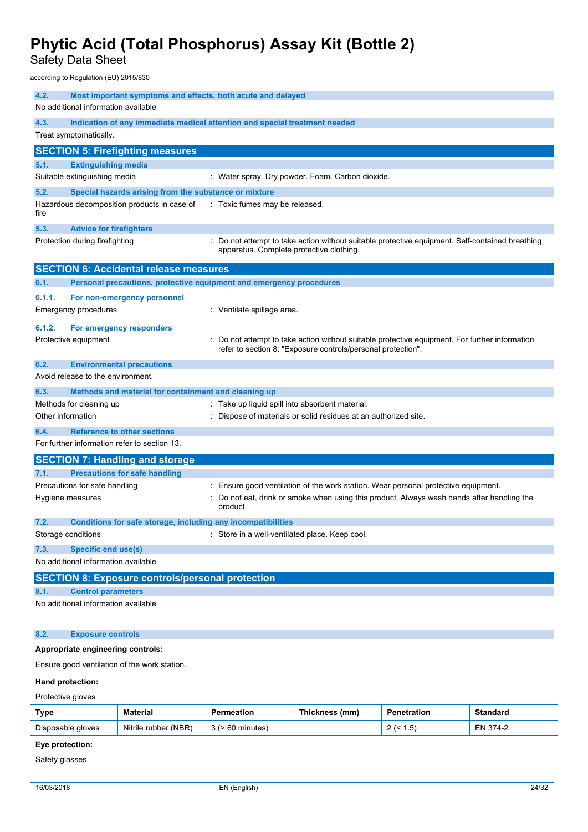Safety Data Sheet

according to Regulation (EU) 2015/830

| 4.2.   | Most important symptoms and effects, both acute and delayed<br>No additional information available |                                                                                                                                                              |
|--------|----------------------------------------------------------------------------------------------------|--------------------------------------------------------------------------------------------------------------------------------------------------------------|
| 4.3.   |                                                                                                    | Indication of any immediate medical attention and special treatment needed                                                                                   |
|        | Treat symptomatically.                                                                             |                                                                                                                                                              |
|        | <b>SECTION 5: Firefighting measures</b>                                                            |                                                                                                                                                              |
| 5.1.   | <b>Extinguishing media</b>                                                                         |                                                                                                                                                              |
|        | Suitable extinguishing media                                                                       | : Water spray. Dry powder. Foam. Carbon dioxide.                                                                                                             |
| 5.2.   | Special hazards arising from the substance or mixture                                              |                                                                                                                                                              |
| fire   | Hazardous decomposition products in case of                                                        | : Toxic fumes may be released.                                                                                                                               |
| 5.3.   | <b>Advice for firefighters</b>                                                                     |                                                                                                                                                              |
|        | Protection during firefighting                                                                     | Do not attempt to take action without suitable protective equipment. Self-contained breathing<br>apparatus. Complete protective clothing.                    |
|        | <b>SECTION 6: Accidental release measures</b>                                                      |                                                                                                                                                              |
| 6.1.   | Personal precautions, protective equipment and emergency procedures                                |                                                                                                                                                              |
| 6.1.1. | For non-emergency personnel                                                                        |                                                                                                                                                              |
|        | <b>Emergency procedures</b>                                                                        | : Ventilate spillage area.                                                                                                                                   |
| 6.1.2. | For emergency responders                                                                           |                                                                                                                                                              |
|        | Protective equipment                                                                               | Do not attempt to take action without suitable protective equipment. For further information<br>refer to section 8: "Exposure controls/personal protection". |
| 6.2.   | <b>Environmental precautions</b>                                                                   |                                                                                                                                                              |
|        | Avoid release to the environment.                                                                  |                                                                                                                                                              |
| 6.3.   | Methods and material for containment and cleaning up                                               |                                                                                                                                                              |
|        | Methods for cleaning up                                                                            | : Take up liquid spill into absorbent material.                                                                                                              |
|        | Other information                                                                                  | Dispose of materials or solid residues at an authorized site.                                                                                                |
| 6.4.   | <b>Reference to other sections</b><br>For further information refer to section 13.                 |                                                                                                                                                              |
|        | <b>SECTION 7: Handling and storage</b>                                                             |                                                                                                                                                              |
| 7.1.   | <b>Precautions for safe handling</b>                                                               |                                                                                                                                                              |
|        | Precautions for safe handling                                                                      | Ensure good ventilation of the work station. Wear personal protective equipment.                                                                             |
|        | Hygiene measures                                                                                   | Do not eat, drink or smoke when using this product. Always wash hands after handling the<br>product.                                                         |
| 7.2.   | Conditions for safe storage, including any incompatibilities                                       |                                                                                                                                                              |
|        | Storage conditions                                                                                 | Store in a well-ventilated place. Keep cool.                                                                                                                 |
| 7.3.   | <b>Specific end use(s)</b>                                                                         |                                                                                                                                                              |
|        | No additional information available                                                                |                                                                                                                                                              |
|        | <b>SECTION 8: Exposure controls/personal protection</b>                                            |                                                                                                                                                              |
| 8.1.   | <b>Control parameters</b>                                                                          |                                                                                                                                                              |
|        | No additional information available                                                                |                                                                                                                                                              |
| 8.2.   | <b>Exposure controls</b>                                                                           |                                                                                                                                                              |
|        |                                                                                                    |                                                                                                                                                              |

#### **Appropriate engineering controls:**

Ensure good ventilation of the work station.

#### **Hand protection:**

Protective gloves

| Type              | Material             | Permeation            | Thickness (mm) | Penetration           | Standard |
|-------------------|----------------------|-----------------------|----------------|-----------------------|----------|
| Disposable gloves | Nitrile rubber (NBR) | $3$ ( $> 60$ minutes) |                | ᄃ<br>، ب.<br><u>_</u> | EN 374-2 |

### **Eye protection:**

Safety glasses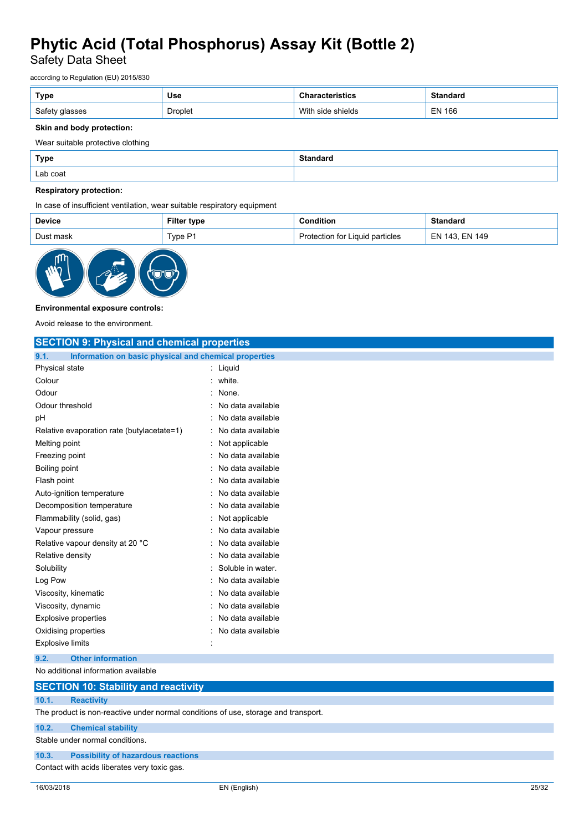Safety Data Sheet

according to Regulation (EU) 2015/830

| Type           | Use     |                   | <b>Standard</b> |
|----------------|---------|-------------------|-----------------|
| Safety glasses | Droplet | With side shields | EN 166          |

#### **Skin and body protection:**

Wear suitable protective clothing

| <b>Type</b> | <b>Standard</b> |
|-------------|-----------------|
| Lab coat    |                 |

#### **Respiratory protection:**

In case of insufficient ventilation, wear suitable respiratory equipment

| <b>Device</b> | Filter<br>ˈtype | <b>Condition</b>                | Standard       |
|---------------|-----------------|---------------------------------|----------------|
| Dust mask     | $T$ vpe P1      | Protection for Liquid particles | EN 143, EN 149 |



#### **Environmental exposure controls:**

Avoid release to the environment.

| <b>SECTION 9: Physical and chemical properties</b>                                 |                   |  |  |
|------------------------------------------------------------------------------------|-------------------|--|--|
| Information on basic physical and chemical properties<br>9.1.                      |                   |  |  |
| Physical state                                                                     | : Liquid          |  |  |
| Colour                                                                             | white.            |  |  |
| Odour<br>$\bullet$                                                                 | None.             |  |  |
| Odour threshold                                                                    | No data available |  |  |
| рH                                                                                 | No data available |  |  |
| Relative evaporation rate (butylacetate=1)                                         | No data available |  |  |
| Melting point                                                                      | Not applicable    |  |  |
| Freezing point                                                                     | No data available |  |  |
| Boiling point                                                                      | No data available |  |  |
| Flash point                                                                        | No data available |  |  |
| Auto-ignition temperature                                                          | No data available |  |  |
| Decomposition temperature                                                          | No data available |  |  |
| Flammability (solid, gas)                                                          | Not applicable    |  |  |
| Vapour pressure                                                                    | No data available |  |  |
| Relative vapour density at 20 °C                                                   | No data available |  |  |
| Relative density                                                                   | No data available |  |  |
| Solubility                                                                         | Soluble in water. |  |  |
| Log Pow                                                                            | No data available |  |  |
| Viscosity, kinematic                                                               | No data available |  |  |
| Viscosity, dynamic                                                                 | No data available |  |  |
| <b>Explosive properties</b>                                                        | No data available |  |  |
| Oxidising properties                                                               | No data available |  |  |
| <b>Explosive limits</b>                                                            |                   |  |  |
| <b>Other information</b><br>9.2.                                                   |                   |  |  |
| No additional information available                                                |                   |  |  |
| <b>SECTION 10: Stability and reactivity</b>                                        |                   |  |  |
| 10.1.<br><b>Reactivity</b>                                                         |                   |  |  |
| The product is non-reactive under normal conditions of use, storage and transport. |                   |  |  |
| 10.2.<br><b>Chemical stability</b>                                                 |                   |  |  |

Stable under normal conditions.

#### **10.3. Possibility of hazardous reactions**

Contact with acids liberates very toxic gas.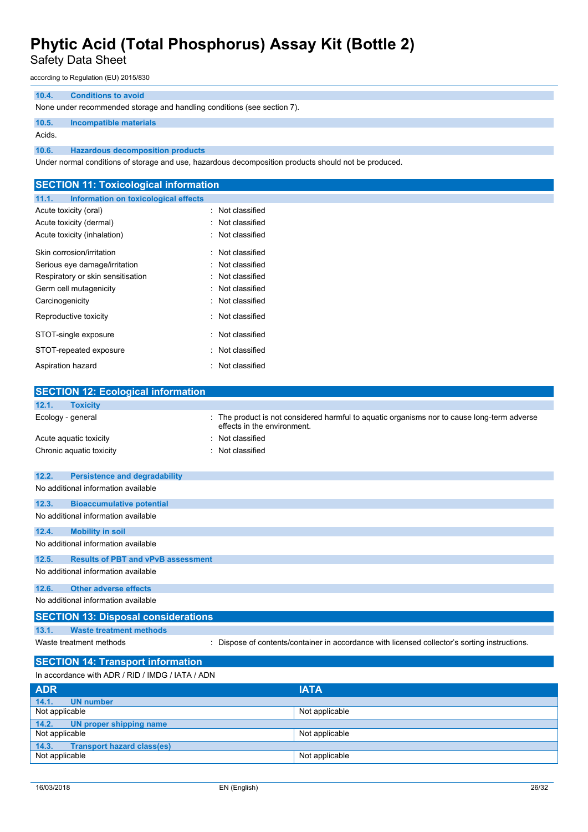Safety Data Sheet

according to Regulation (EU) 2015/830

#### **10.4. Conditions to avoid**

None under recommended storage and handling conditions (see section 7).

#### **10.5. Incompatible materials**

Acids.

**10.6. Hazardous decomposition products**

Under normal conditions of storage and use, hazardous decomposition products should not be produced.

| <b>SECTION 11: Toxicological information</b>  |                                                                                                                            |
|-----------------------------------------------|----------------------------------------------------------------------------------------------------------------------------|
| 11.1.<br>Information on toxicological effects |                                                                                                                            |
| Acute toxicity (oral)                         | Not classified                                                                                                             |
| Acute toxicity (dermal)                       | : Not classified                                                                                                           |
| Acute toxicity (inhalation)                   | Not classified                                                                                                             |
| Skin corrosion/irritation                     | Not classified                                                                                                             |
| Serious eye damage/irritation                 | Not classified                                                                                                             |
| Respiratory or skin sensitisation             | Not classified                                                                                                             |
| Germ cell mutagenicity                        | Not classified                                                                                                             |
| Carcinogenicity                               | : Not classified                                                                                                           |
| Reproductive toxicity                         | : Not classified                                                                                                           |
| STOT-single exposure                          | : Not classified                                                                                                           |
| STOT-repeated exposure                        | : Not classified                                                                                                           |
| Aspiration hazard                             | : Not classified                                                                                                           |
| <b>SECTION 12: Ecological information</b>     |                                                                                                                            |
| 12.1.<br><b>Toxicity</b>                      |                                                                                                                            |
| Ecology - general                             | : The product is not considered harmful to aquatic organisms nor to cause long-term adverse<br>effects in the environment. |
| Acute aquatic toxicity                        | Not classified                                                                                                             |
| Chronic aquatic toxicity                      | Not classified                                                                                                             |
| 12.2.<br><b>Persistence and degradability</b> |                                                                                                                            |

| No additional information available                |  |  |
|----------------------------------------------------|--|--|
| 12.3.<br><b>Bioaccumulative potential</b>          |  |  |
| No additional information available                |  |  |
| 12.4.<br><b>Mobility in soil</b>                   |  |  |
| No additional information available                |  |  |
| 12.5.<br><b>Results of PBT and vPvB assessment</b> |  |  |
| No additional information available                |  |  |
| 12.6.<br><b>Other adverse effects</b>              |  |  |
| No additional information available                |  |  |
| <b>SECTION 13: Disposal considerations</b>         |  |  |

**13.1. Waste treatment methods**

Waste treatment methods : Dispose of contents/container in accordance with licensed collector's sorting instructions.

### **SECTION 14: Transport information**

| In accordance with ADR / RID / IMDG / IATA / ADN |                |  |  |
|--------------------------------------------------|----------------|--|--|
| <b>ADR</b>                                       | <b>IATA</b>    |  |  |
| 14.1.<br>UN number                               |                |  |  |
| Not applicable                                   | Not applicable |  |  |
| 14.2.<br>UN proper shipping name                 |                |  |  |
| Not applicable                                   | Not applicable |  |  |
| <b>Transport hazard class(es)</b><br>14.3.       |                |  |  |
| Not applicable                                   | Not applicable |  |  |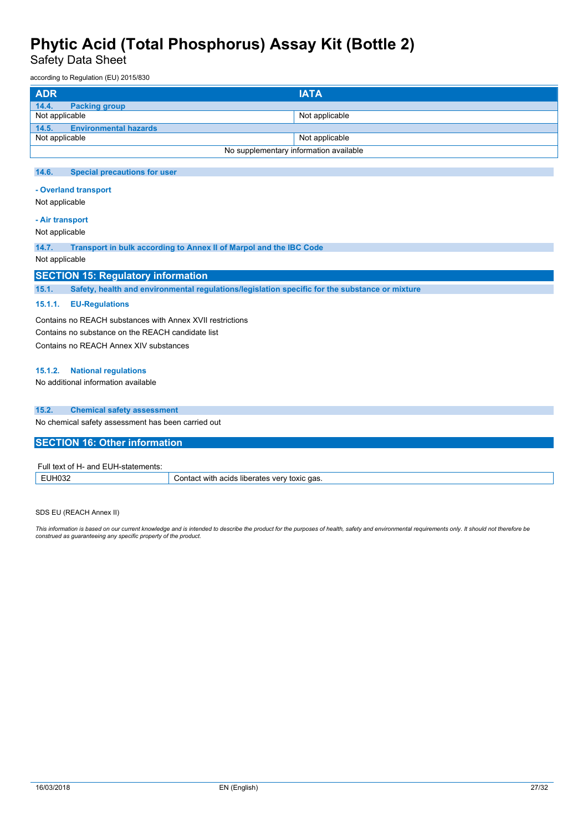Safety Data Sheet

according to Regulation (EU) 2015/830

| <b>ADR</b>                            | <b>IATA</b>                            |
|---------------------------------------|----------------------------------------|
| 14.4.<br><b>Packing group</b>         |                                        |
| Not applicable                        | Not applicable                         |
| 14.5.<br><b>Environmental hazards</b> |                                        |
| Not applicable                        | Not applicable                         |
|                                       | No supplementary information available |

#### **14.6. Special precautions for user**

#### **- Overland transport**

Not applicable

#### **- Air transport**

Not applicable

**14.7. Transport in bulk according to Annex II of Marpol and the IBC Code**

#### Not applicable

#### **SECTION 15: Regulatory information**

**15.1. Safety, health and environmental regulations/legislation specific for the substance or mixture**

#### **15.1.1. EU-Regulations**

Contains no REACH substances with Annex XVII restrictions Contains no substance on the REACH candidate list Contains no REACH Annex XIV substances

#### **15.1.2. National regulations**

No additional information available

#### **15.2. Chemical safety assessment**

No chemical safety assessment has been carried out

#### **SECTION 16: Other information**

| $\overline{\phantom{a}}$ Full text of H- $\overline{\phantom{a}}$ .<br>'- and EUH-statements: |                                                     |
|-----------------------------------------------------------------------------------------------|-----------------------------------------------------|
| EUH032                                                                                        | Contact with acids liberates very *<br>' toxic gas. |

SDS EU (REACH Annex II)

This information is based on our current knowledge and is intended to describe the product for the purposes of health, safety and environmental requirements only. It should not therefore be<br>construed as guaranteeing any sp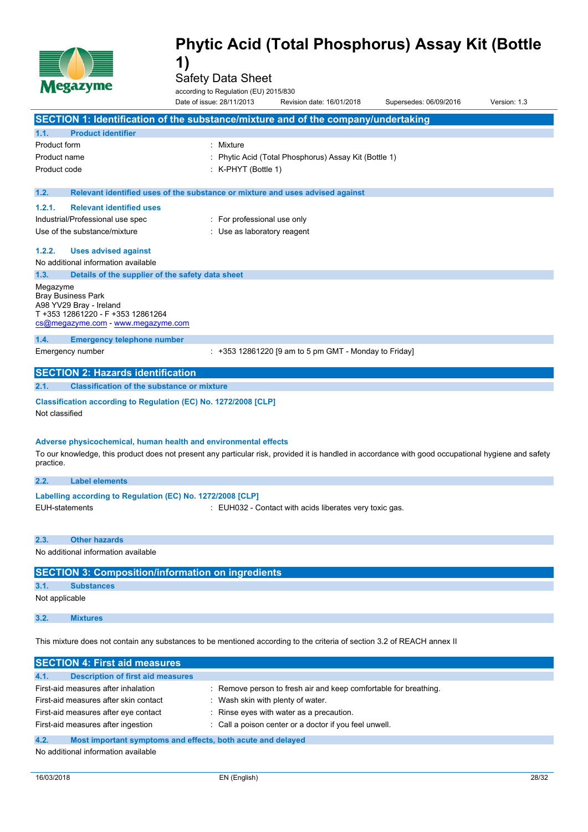

Safety Data Sheet

according to Regulation (EU) 2015/830

|                | <b>NICSWAY MIC</b>                                                                                                                                  | according to Regulation (EU) 2015/830<br>Date of issue: 28/11/2013 | Revision date: 16/01/2018                               | Supersedes: 06/09/2016 | Version: 1.3 |
|----------------|-----------------------------------------------------------------------------------------------------------------------------------------------------|--------------------------------------------------------------------|---------------------------------------------------------|------------------------|--------------|
|                | SECTION 1: Identification of the substance/mixture and of the company/undertaking                                                                   |                                                                    |                                                         |                        |              |
| 1.1.           | <b>Product identifier</b>                                                                                                                           |                                                                    |                                                         |                        |              |
| Product form   |                                                                                                                                                     | Mixture                                                            |                                                         |                        |              |
| Product name   |                                                                                                                                                     |                                                                    | Phytic Acid (Total Phosphorus) Assay Kit (Bottle 1)     |                        |              |
| Product code   |                                                                                                                                                     | $:$ K-PHYT (Bottle 1)                                              |                                                         |                        |              |
| 1.2.           | Relevant identified uses of the substance or mixture and uses advised against                                                                       |                                                                    |                                                         |                        |              |
| 1.2.1.         | <b>Relevant identified uses</b>                                                                                                                     |                                                                    |                                                         |                        |              |
|                | Industrial/Professional use spec                                                                                                                    | : For professional use only                                        |                                                         |                        |              |
|                | Use of the substance/mixture                                                                                                                        | : Use as laboratory reagent                                        |                                                         |                        |              |
| 1.2.2.         | <b>Uses advised against</b>                                                                                                                         |                                                                    |                                                         |                        |              |
|                | No additional information available                                                                                                                 |                                                                    |                                                         |                        |              |
| 1.3.           | Details of the supplier of the safety data sheet                                                                                                    |                                                                    |                                                         |                        |              |
| Megazyme       | <b>Bray Business Park</b><br>A98 YV29 Bray - Ireland<br>T +353 12861220 - F +353 12861264<br>cs@megazyme.com - www.megazyme.com                     |                                                                    |                                                         |                        |              |
| 1.4.           | <b>Emergency telephone number</b>                                                                                                                   |                                                                    |                                                         |                        |              |
|                | Emergency number                                                                                                                                    |                                                                    | $: +353$ 12861220 [9 am to 5 pm GMT - Monday to Friday] |                        |              |
|                | <b>SECTION 2: Hazards identification</b>                                                                                                            |                                                                    |                                                         |                        |              |
| 2.1.           | <b>Classification of the substance or mixture</b>                                                                                                   |                                                                    |                                                         |                        |              |
| Not classified | Classification according to Regulation (EC) No. 1272/2008 [CLP]                                                                                     |                                                                    |                                                         |                        |              |
|                | Adverse physicochemical, human health and environmental effects                                                                                     |                                                                    |                                                         |                        |              |
| practice.      | To our knowledge, this product does not present any particular risk, provided it is handled in accordance with good occupational hygiene and safety |                                                                    |                                                         |                        |              |
| 2.2.           | <b>Label elements</b>                                                                                                                               |                                                                    |                                                         |                        |              |
|                | Labelling according to Regulation (EC) No. 1272/2008 [CLP]                                                                                          |                                                                    |                                                         |                        |              |
|                | <b>EUH-statements</b>                                                                                                                               |                                                                    | : EUH032 - Contact with acids liberates very toxic gas. |                        |              |
| 2.3.           | <b>Other hazards</b>                                                                                                                                |                                                                    |                                                         |                        |              |
|                | No additional information available                                                                                                                 |                                                                    |                                                         |                        |              |
|                | <b>SECTION 3: Composition/information on ingredients</b>                                                                                            |                                                                    |                                                         |                        |              |
| 3.1.           | <b>Substances</b>                                                                                                                                   |                                                                    |                                                         |                        |              |
| Not applicable |                                                                                                                                                     |                                                                    |                                                         |                        |              |
| 3.2.           | <b>Mixtures</b>                                                                                                                                     |                                                                    |                                                         |                        |              |

This mixture does not contain any substances to be mentioned according to the criteria of section 3.2 of REACH annex II

| <b>SECTION 4: First aid measures</b>                                |                                                                  |
|---------------------------------------------------------------------|------------------------------------------------------------------|
| 4.1.<br><b>Description of first aid measures</b>                    |                                                                  |
|                                                                     |                                                                  |
| First-aid measures after inhalation                                 | : Remove person to fresh air and keep comfortable for breathing. |
| First-aid measures after skin contact                               | Wash skin with plenty of water.                                  |
| First-aid measures after eye contact                                | : Rinse eyes with water as a precaution.                         |
| First-aid measures after ingestion                                  | : Call a poison center or a doctor if you feel unwell.           |
| 4.2.<br>Most important symptoms and effects, both acute and delayed |                                                                  |
|                                                                     |                                                                  |

No additional information available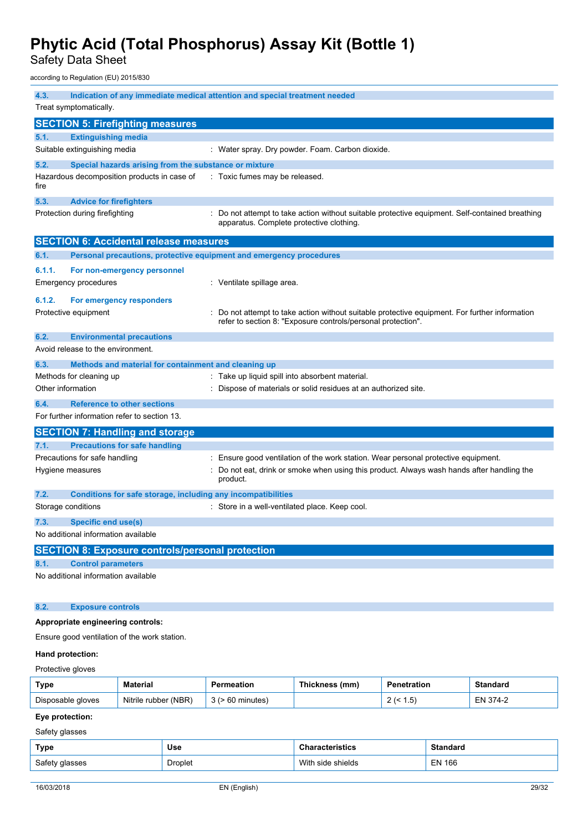Safety Data Sheet

according to Regulation (EU) 2015/830

| 4.3.<br>Indication of any immediate medical attention and special treatment needed |                                                                     |                                                                                                                                                              |  |  |
|------------------------------------------------------------------------------------|---------------------------------------------------------------------|--------------------------------------------------------------------------------------------------------------------------------------------------------------|--|--|
| Treat symptomatically.                                                             |                                                                     |                                                                                                                                                              |  |  |
|                                                                                    | <b>SECTION 5: Firefighting measures</b>                             |                                                                                                                                                              |  |  |
| 5.1.                                                                               | <b>Extinguishing media</b>                                          |                                                                                                                                                              |  |  |
|                                                                                    | Suitable extinguishing media                                        | : Water spray. Dry powder. Foam. Carbon dioxide.                                                                                                             |  |  |
| 5.2.                                                                               | Special hazards arising from the substance or mixture               |                                                                                                                                                              |  |  |
| fire                                                                               | Hazardous decomposition products in case of                         | : Toxic fumes may be released.                                                                                                                               |  |  |
| 5.3.                                                                               | <b>Advice for firefighters</b>                                      |                                                                                                                                                              |  |  |
|                                                                                    | Protection during firefighting                                      | : Do not attempt to take action without suitable protective equipment. Self-contained breathing<br>apparatus. Complete protective clothing.                  |  |  |
|                                                                                    | <b>SECTION 6: Accidental release measures</b>                       |                                                                                                                                                              |  |  |
| 6.1.                                                                               | Personal precautions, protective equipment and emergency procedures |                                                                                                                                                              |  |  |
| 6.1.1.                                                                             | For non-emergency personnel                                         |                                                                                                                                                              |  |  |
|                                                                                    | <b>Emergency procedures</b>                                         | : Ventilate spillage area.                                                                                                                                   |  |  |
| 6.1.2.                                                                             | For emergency responders                                            |                                                                                                                                                              |  |  |
|                                                                                    | Protective equipment                                                | Do not attempt to take action without suitable protective equipment. For further information<br>refer to section 8: "Exposure controls/personal protection". |  |  |
| 6.2.                                                                               | <b>Environmental precautions</b>                                    |                                                                                                                                                              |  |  |
|                                                                                    | Avoid release to the environment.                                   |                                                                                                                                                              |  |  |
| 6.3.                                                                               | Methods and material for containment and cleaning up                |                                                                                                                                                              |  |  |
|                                                                                    | Methods for cleaning up                                             | : Take up liquid spill into absorbent material.                                                                                                              |  |  |
| Other information                                                                  |                                                                     | Dispose of materials or solid residues at an authorized site.                                                                                                |  |  |
| 6.4.                                                                               | <b>Reference to other sections</b>                                  |                                                                                                                                                              |  |  |
|                                                                                    | For further information refer to section 13.                        |                                                                                                                                                              |  |  |
|                                                                                    | <b>SECTION 7: Handling and storage</b>                              |                                                                                                                                                              |  |  |
| 7.1.                                                                               | <b>Precautions for safe handling</b>                                |                                                                                                                                                              |  |  |
|                                                                                    | Precautions for safe handling                                       | : Ensure good ventilation of the work station. Wear personal protective equipment.                                                                           |  |  |
|                                                                                    | Hygiene measures                                                    | Do not eat, drink or smoke when using this product. Always wash hands after handling the<br>product.                                                         |  |  |
| 7.2.                                                                               | Conditions for safe storage, including any incompatibilities        |                                                                                                                                                              |  |  |
|                                                                                    | Storage conditions                                                  | : Store in a well-ventilated place. Keep cool.                                                                                                               |  |  |
| 7.3.                                                                               | Specific end use(s)                                                 |                                                                                                                                                              |  |  |
|                                                                                    | No additional information available                                 |                                                                                                                                                              |  |  |
|                                                                                    | <b>SECTION 8: Exposure controls/personal protection</b>             |                                                                                                                                                              |  |  |
| 8.1.                                                                               | <b>Control parameters</b>                                           |                                                                                                                                                              |  |  |
|                                                                                    | No additional information available                                 |                                                                                                                                                              |  |  |
| 8.2.                                                                               | <b>Exposure controls</b>                                            |                                                                                                                                                              |  |  |
|                                                                                    | Appropriate engineering controls:                                   |                                                                                                                                                              |  |  |
|                                                                                    | Ensure good ventilation of the work station.                        |                                                                                                                                                              |  |  |

### **Hand protection:**

Protective gloves

| Type              | <b>Material</b>         |         | <b>Thickness</b><br>(mm) | netration         | Standard       |
|-------------------|-------------------------|---------|--------------------------|-------------------|----------------|
| Disposable gloves | (NBR)<br>Nitrile rubber | minutes |                          | . .5'<br><u>_</u> | – N<br>$4 - 4$ |

#### **Eye protection:**

Safety glasses

| Type           | Use            | <b>Characteristics</b> | <b>Standard</b> |
|----------------|----------------|------------------------|-----------------|
| Safety glasses | <b>Droplet</b> | With side shields      | EN 166          |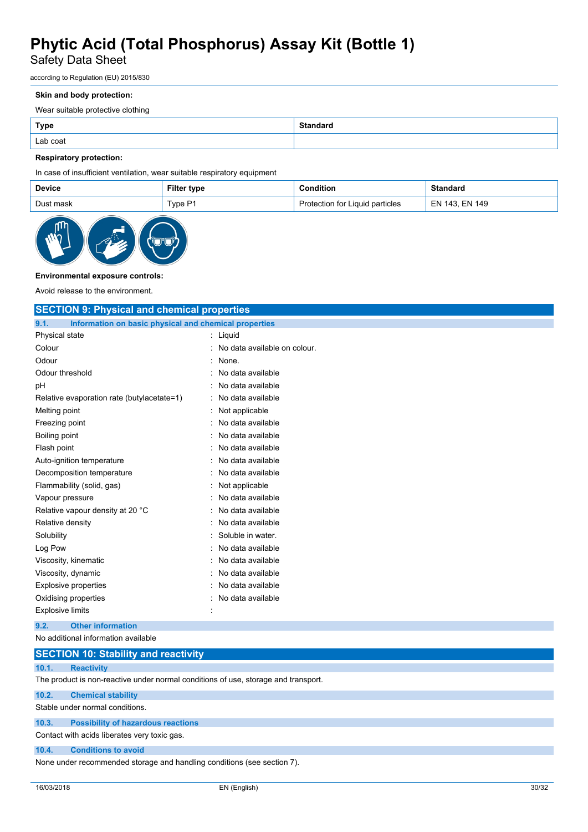### Safety Data Sheet

according to Regulation (EU) 2015/830

#### **Skin and body protection:**

Wear suitable protective clothing

| <b>Type</b> | <b>Standard</b> |
|-------------|-----------------|
| Lab coat    |                 |

#### **Respiratory protection:**

In case of insufficient ventilation, wear suitable respiratory equipment

| Device    | <b>Filter type</b> | Condition                       | Standard       |
|-----------|--------------------|---------------------------------|----------------|
| Dust mask | Type P1            | Protection for Liquid particles | EN 143. EN 149 |



#### **Environmental exposure controls:**

Avoid release to the environment.

| <b>SECTION 9: Physical and chemical properties</b>            |                                |  |  |
|---------------------------------------------------------------|--------------------------------|--|--|
| 9.1.<br>Information on basic physical and chemical properties |                                |  |  |
| Physical state                                                | : Liquid                       |  |  |
| Colour                                                        | : No data available on colour. |  |  |
| Odour                                                         | $:$ None.                      |  |  |
| Odour threshold                                               | No data available              |  |  |
| pH                                                            | No data available              |  |  |
| Relative evaporation rate (butylacetate=1)                    | No data available              |  |  |
| Melting point                                                 | Not applicable                 |  |  |
| Freezing point                                                | No data available              |  |  |
| Boiling point                                                 | No data available              |  |  |
| Flash point                                                   | No data available              |  |  |
| Auto-ignition temperature                                     | No data available              |  |  |
| Decomposition temperature                                     | No data available              |  |  |
| Flammability (solid, gas)                                     | Not applicable                 |  |  |
| Vapour pressure                                               | No data available              |  |  |
| Relative vapour density at 20 °C                              | No data available              |  |  |
| Relative density                                              | No data available              |  |  |
| Solubility                                                    | Soluble in water.              |  |  |
| Log Pow                                                       | No data available              |  |  |
| Viscosity, kinematic                                          | No data available              |  |  |
| Viscosity, dynamic                                            | No data available              |  |  |
| <b>Explosive properties</b>                                   | No data available              |  |  |
| Oxidising properties                                          | No data available              |  |  |
| <b>Explosive limits</b>                                       |                                |  |  |
| <b>Other information</b><br>9.2.                              |                                |  |  |
| No additional information available                           |                                |  |  |

### **SECTION 10: Stability and reactivity 10.1. Reactivity** The product is non-reactive under normal conditions of use, storage and transport. **10.2. Chemical stability** Stable under normal conditions.

**10.3. Possibility of hazardous reactions**

### Contact with acids liberates very toxic gas.

#### **10.4. Conditions to avoid**

None under recommended storage and handling conditions (see section 7).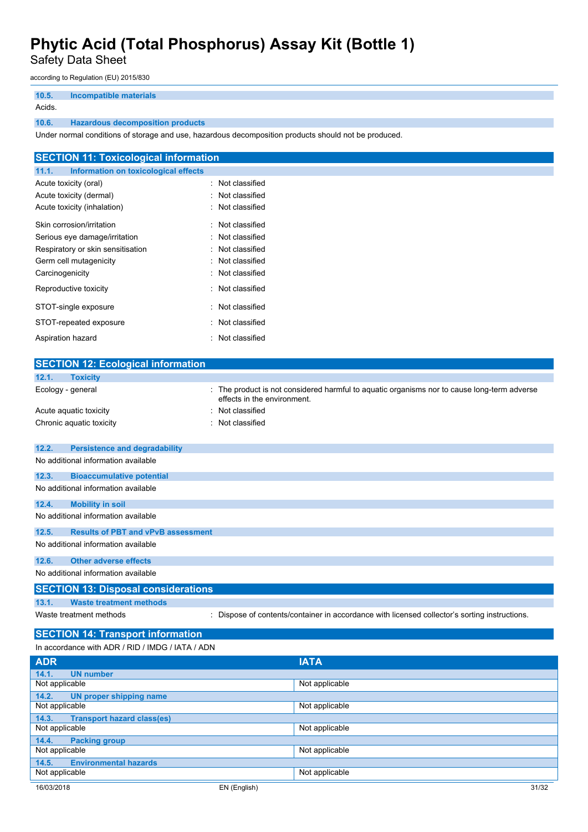Safety Data Sheet

according to Regulation (EU) 2015/830

| 10.5.  | Incompatible materials                  |
|--------|-----------------------------------------|
| Acids. |                                         |
| 10.6.  | <b>Hazardous decomposition products</b> |

Under normal conditions of storage and use, hazardous decomposition products should not be produced.

| <b>SECTION 11: Toxicological information</b>  |                  |
|-----------------------------------------------|------------------|
| Information on toxicological effects<br>11.1. |                  |
| Acute toxicity (oral)                         | : Not classified |
| Acute toxicity (dermal)                       | : Not classified |
| Acute toxicity (inhalation)                   | : Not classified |
| Skin corrosion/irritation                     | : Not classified |
| Serious eye damage/irritation                 | : Not classified |
| Respiratory or skin sensitisation             | : Not classified |
| Germ cell mutagenicity                        | : Not classified |
| Carcinogenicity                               | : Not classified |
| Reproductive toxicity                         | : Not classified |
| STOT-single exposure                          | : Not classified |
| STOT-repeated exposure                        | : Not classified |
| Aspiration hazard                             | : Not classified |

|                | <b>SECTION 12: Ecological information</b>        |                                                                                                                          |
|----------------|--------------------------------------------------|--------------------------------------------------------------------------------------------------------------------------|
| 12.1.          | <b>Toxicity</b>                                  |                                                                                                                          |
|                | Ecology - general                                | The product is not considered harmful to aquatic organisms nor to cause long-term adverse<br>effects in the environment. |
|                | Acute aquatic toxicity                           | Not classified                                                                                                           |
|                | Chronic aquatic toxicity                         | Not classified                                                                                                           |
|                |                                                  |                                                                                                                          |
| 12.2.          | <b>Persistence and degradability</b>             |                                                                                                                          |
|                | No additional information available              |                                                                                                                          |
| 12.3.          | <b>Bioaccumulative potential</b>                 |                                                                                                                          |
|                | No additional information available              |                                                                                                                          |
| 12.4.          | <b>Mobility in soil</b>                          |                                                                                                                          |
|                | No additional information available              |                                                                                                                          |
| 12.5.          | <b>Results of PBT and vPvB assessment</b>        |                                                                                                                          |
|                | No additional information available              |                                                                                                                          |
| 12.6.          | <b>Other adverse effects</b>                     |                                                                                                                          |
|                | No additional information available              |                                                                                                                          |
|                | <b>SECTION 13: Disposal considerations</b>       |                                                                                                                          |
| 13.1.          | <b>Waste treatment methods</b>                   |                                                                                                                          |
|                | Waste treatment methods                          | Dispose of contents/container in accordance with licensed collector's sorting instructions.                              |
|                | <b>SECTION 14: Transport information</b>         |                                                                                                                          |
|                | In accordance with ADR / RID / IMDG / IATA / ADN |                                                                                                                          |
| <b>ADR</b>     |                                                  | <b>IATA</b>                                                                                                              |
| 14.1.          | <b>UN number</b>                                 |                                                                                                                          |
| Not applicable |                                                  | Not applicable                                                                                                           |
| 14.2           | UN proper shipping name                          |                                                                                                                          |

| 14.2.<br>UN proper shipping name           |                       |
|--------------------------------------------|-----------------------|
| Not applicable                             | Not applicable        |
| 14.3.<br><b>Transport hazard class(es)</b> |                       |
| Not applicable                             | Not applicable        |
| 14.4.<br><b>Packing group</b>              |                       |
| Not applicable                             | Not applicable        |
| <b>Environmental hazards</b><br>14.5.      |                       |
| Not applicable                             | Not applicable        |
| 16/03/2018                                 | 31/32<br>EN (English) |